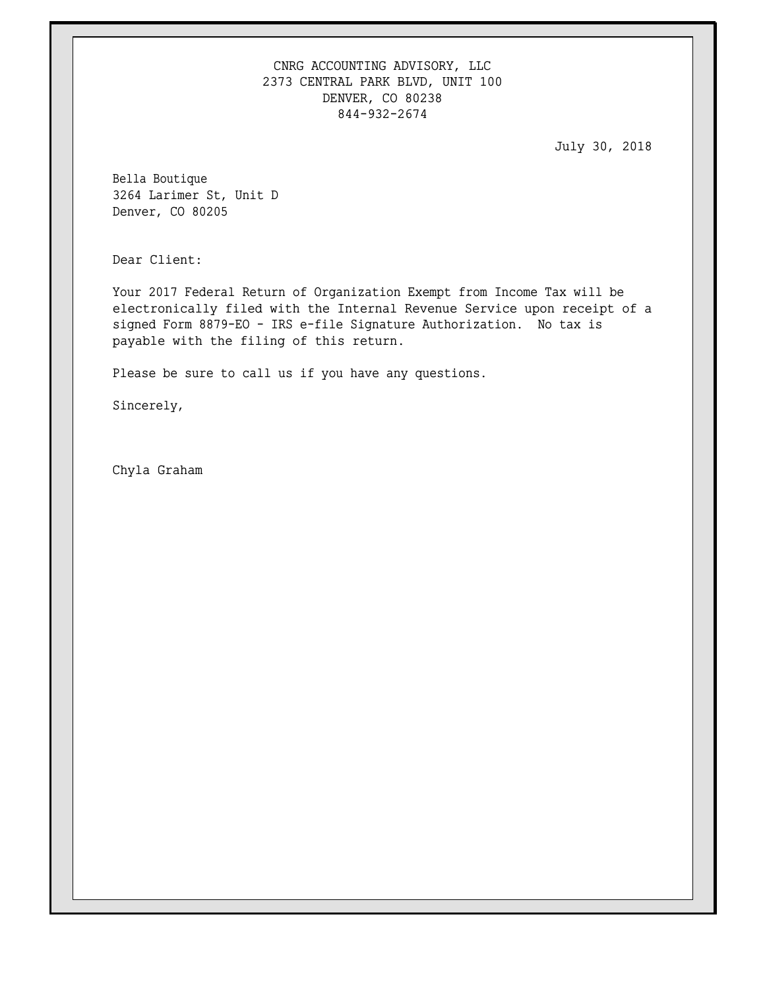CNRG ACCOUNTING ADVISORY, LLC 2373 CENTRAL PARK BLVD, UNIT 100 DENVER, CO 80238 844-932-2674

July 30, 2018

Bella Boutique 3264 Larimer St, Unit D Denver, CO 80205

Dear Client:

Your 2017 Federal Return of Organization Exempt from Income Tax will be electronically filed with the Internal Revenue Service upon receipt of a signed Form 8879-EO - IRS e-file Signature Authorization. No tax is payable with the filing of this return.

Please be sure to call us if you have any questions.

Sincerely,

Chyla Graham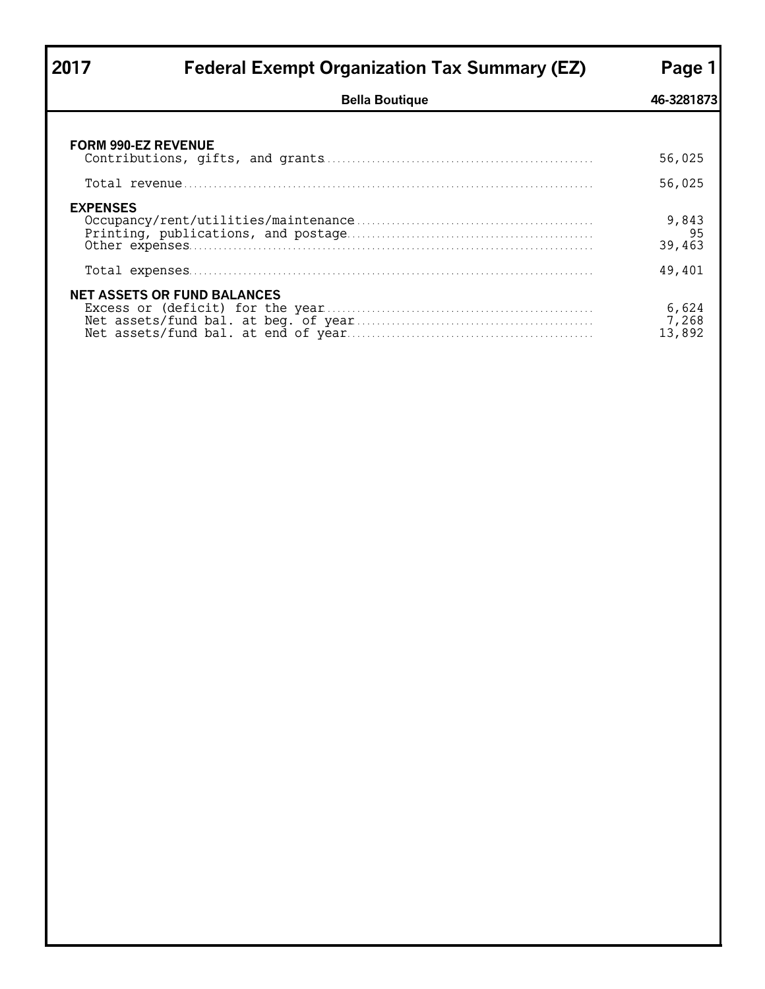| 2017            | <b>Federal Exempt Organization Tax Summary (EZ)</b> | Page 1                   |
|-----------------|-----------------------------------------------------|--------------------------|
|                 | <b>Bella Boutique</b>                               | 46-3281873               |
|                 |                                                     |                          |
|                 | <b>FORM 990-EZ REVENUE</b>                          | 56,025                   |
|                 |                                                     | 56,025                   |
| <b>EXPENSES</b> |                                                     | 9,843<br>95<br>39,463    |
|                 |                                                     | 49,401                   |
|                 | <b>NET ASSETS OR FUND BALANCES</b>                  | 6,624<br>7,268<br>13,892 |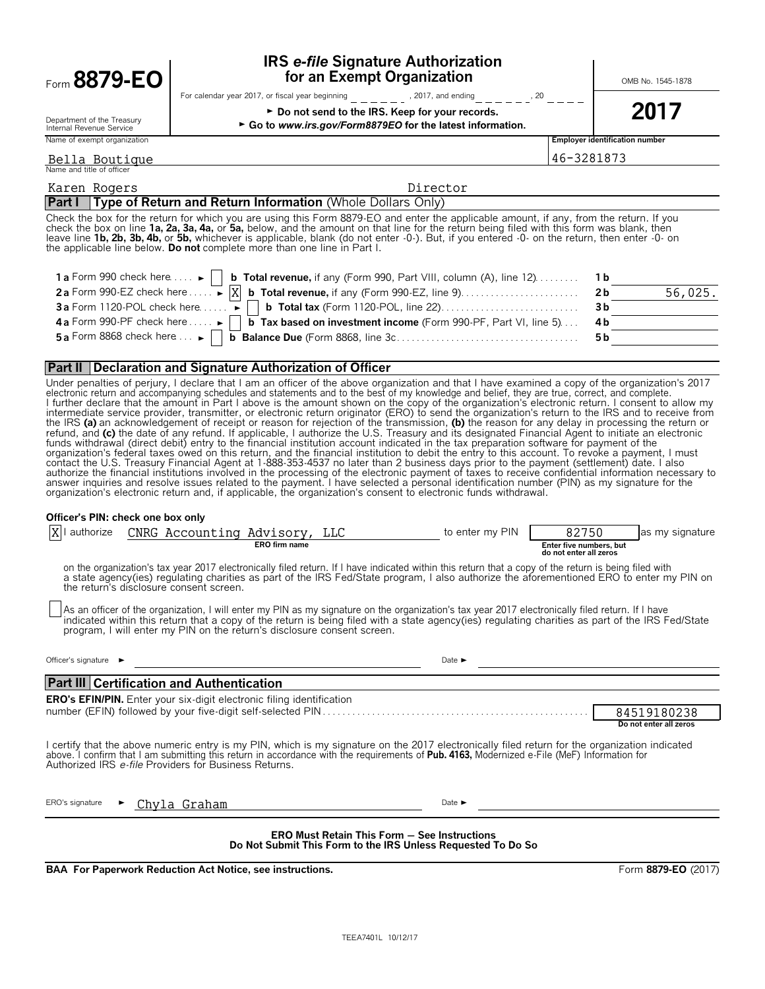| Form 8879-EO | for an Exempt Organization                       | <b>IRS e-file Signature Authorization</b> | OMB No. 1545-1878 |
|--------------|--------------------------------------------------|-------------------------------------------|-------------------|
|              | For calendar year 2017, or fiscal year beginning | 2017 and anding                           |                   |

## **IRS** *e-file* **Signature Authorization**

► Go to www.irs.gov/Form8879EO for the latest information.

Department of the Treasury<br>Internal Revenue Service Name of exempt organization **Employer identification number**

year beginning  $\frac{1}{2}$   $\frac{1}{2}$   $\frac{1}{2}$   $\frac{1}{2}$   $\frac{1}{2}$   $\frac{1}{2}$   $\frac{1}{2}$   $\frac{1}{2}$   $\frac{1}{2}$   $\frac{1}{2}$   $\frac{1}{2}$   $\frac{1}{2}$   $\frac{1}{2}$   $\frac{1}{2}$   $\frac{1}{2}$   $\frac{1}{2}$   $\frac{1}{2}$   $\frac{1}{2}$   $\frac{1}{2}$   $\frac{1}{2}$   $\frac{1}{$ 

 $\triangleright$  Do not send to the IRS. Keep for your records.  $\vert$  2017

#### Name and title of officer Bella Boutique 281873

| Karen Rogers                                                                                                                                                                                                                                                                                                                                                                                                                                                                                                      | Director |                |         |  |  |  |
|-------------------------------------------------------------------------------------------------------------------------------------------------------------------------------------------------------------------------------------------------------------------------------------------------------------------------------------------------------------------------------------------------------------------------------------------------------------------------------------------------------------------|----------|----------------|---------|--|--|--|
| <b>Part I</b> Type of Return and Return Information (Whole Dollars Only)                                                                                                                                                                                                                                                                                                                                                                                                                                          |          |                |         |  |  |  |
| Check the box for the return for which you are using this Form 8879-EO and enter the applicable amount, if any, from the return. If you<br>check the box on line 1a, 2a, 3a, 4a, or 5a, below, and the amount on that line for the return being filed with this form was blank, then<br>leave line 1b, 2b, 3b, 4b, or 5b, whichever is applicable, blank (do not enter -0-). But, if you entered -0- on the return, then enter -0- on<br>the applicable line below. Do not complete more than one line in Part I. |          |                |         |  |  |  |
| <b>1 a</b> Form 990 check here $\dots$ <b>b</b> Total revenue, if any (Form 990, Part VIII, column (A), line 12) $\dots$ .                                                                                                                                                                                                                                                                                                                                                                                        |          | - 1 b          |         |  |  |  |
|                                                                                                                                                                                                                                                                                                                                                                                                                                                                                                                   |          | 2 <sub>b</sub> | 56,025. |  |  |  |
| 3b                                                                                                                                                                                                                                                                                                                                                                                                                                                                                                                |          |                |         |  |  |  |
| 4 a Form 990-PF check here $\dots$ $\blacktriangleright$   <b>b</b> Tax based on investment income (Form 990-PF, Part VI, line 5)                                                                                                                                                                                                                                                                                                                                                                                 |          | 4b             |         |  |  |  |
|                                                                                                                                                                                                                                                                                                                                                                                                                                                                                                                   |          | 5 b            |         |  |  |  |

#### **Part II Declaration and Signature Authorization of Officer**

Under penalties of perjury, I declare that I am an officer of the above organization and that I have examined a copy of the organization's 2017<br>electronic return and accompanying schedules and statements and to the best of l further declare that the amount in Part I above is the amount shown on the copy of the organization's electronic return. I consent to allow my<br>intermediate service provider, transmitter, or electronic return originator ( the IRS **(a)** an acknowledgement of receipt or reason for rejection of the transmission, **(b)** the reason for any delay in processing the return or refund, and (c) the date of any refund. If applicable, I authorize the U.S. Treasury and its designated Financial Agent to initiate an electronic<br>funds withdrawal (direct debit) entry to the financial institution account i organization's federal taxes owed on this return, and the financial institution to debit the entry to this account. To revoke a payment, I must contact the U.S. Treasury Financial Agent at 1-888-353-4537 no later than 2 business days prior to the payment (settlement) date. I also<br>authorize the financial institutions involved in the processing of the electronic pay answer inquiries and resolve issues related to the payment. I have selected a personal identification number (PIN) as my signature for the organization's electronic return and, if applicable, the organization's consent to electronic funds withdrawal.

#### **Officer's PIN: check one box only**

| authorize                                                                                                                                                                                                                                                                                                                                              |  | CNRG Accounting Advisory,                                                    | <b>ERO</b> firm name | <b>LLC</b> |  | to enter my PIN                                                                                                                                       | 82750<br>Enter five numbers, but | as my signature                                                                                                                                  |  |
|--------------------------------------------------------------------------------------------------------------------------------------------------------------------------------------------------------------------------------------------------------------------------------------------------------------------------------------------------------|--|------------------------------------------------------------------------------|----------------------|------------|--|-------------------------------------------------------------------------------------------------------------------------------------------------------|----------------------------------|--------------------------------------------------------------------------------------------------------------------------------------------------|--|
|                                                                                                                                                                                                                                                                                                                                                        |  |                                                                              |                      |            |  |                                                                                                                                                       | do not enter all zeros           |                                                                                                                                                  |  |
|                                                                                                                                                                                                                                                                                                                                                        |  | the return's disclosure consent screen.                                      |                      |            |  | on the organization's tax year 2017 electronically filed return. If I have indicated within this return that a copy of the return is being filed with |                                  | a state agency(ies) regulating charities as part of the IRS Fed/State program, I also authorize the aforementioned ERO to enter my PIN on        |  |
|                                                                                                                                                                                                                                                                                                                                                        |  | program, I will enter my PIN on the return's disclosure consent screen.      |                      |            |  | As an officer of the organization, I will enter my PIN as my signature on the organization's tax year 2017 electronically filed return. If I have     |                                  | indicated within this return that a copy of the return is being filed with a state agency(ies) regulating charities as part of the IRS Fed/State |  |
| Officer's signature $\blacktriangleright$                                                                                                                                                                                                                                                                                                              |  |                                                                              |                      |            |  | Date $\blacktriangleright$                                                                                                                            |                                  |                                                                                                                                                  |  |
|                                                                                                                                                                                                                                                                                                                                                        |  | <b>Part III Certification and Authentication</b>                             |                      |            |  |                                                                                                                                                       |                                  |                                                                                                                                                  |  |
|                                                                                                                                                                                                                                                                                                                                                        |  | <b>ERO's EFIN/PIN.</b> Enter your six-digit electronic filing identification |                      |            |  |                                                                                                                                                       |                                  |                                                                                                                                                  |  |
|                                                                                                                                                                                                                                                                                                                                                        |  |                                                                              |                      |            |  |                                                                                                                                                       |                                  | 84519180238                                                                                                                                      |  |
|                                                                                                                                                                                                                                                                                                                                                        |  |                                                                              |                      |            |  |                                                                                                                                                       |                                  | Do not enter all zeros                                                                                                                           |  |
| I certify that the above numeric entry is my PIN, which is my signature on the 2017 electronically filed return for the organization indicated<br>above. I confirm that I am submitting this return in accordance with the requirements of Pub. 4163, Modernized e-File (MeF) Information for<br>Authorized IRS e-file Providers for Business Returns. |  |                                                                              |                      |            |  |                                                                                                                                                       |                                  |                                                                                                                                                  |  |
| ERO's signature                                                                                                                                                                                                                                                                                                                                        |  | Chyla Graham                                                                 |                      |            |  | Date $\blacktriangleright$                                                                                                                            |                                  |                                                                                                                                                  |  |
| <b>ERO Must Retain This Form - See Instructions</b><br>Do Not Submit This Form to the IRS Unless Requested To Do So                                                                                                                                                                                                                                    |  |                                                                              |                      |            |  |                                                                                                                                                       |                                  |                                                                                                                                                  |  |

**BAA For Paperwork Reduction Act Notice, see instructions.** Form **8879-EO** (2017)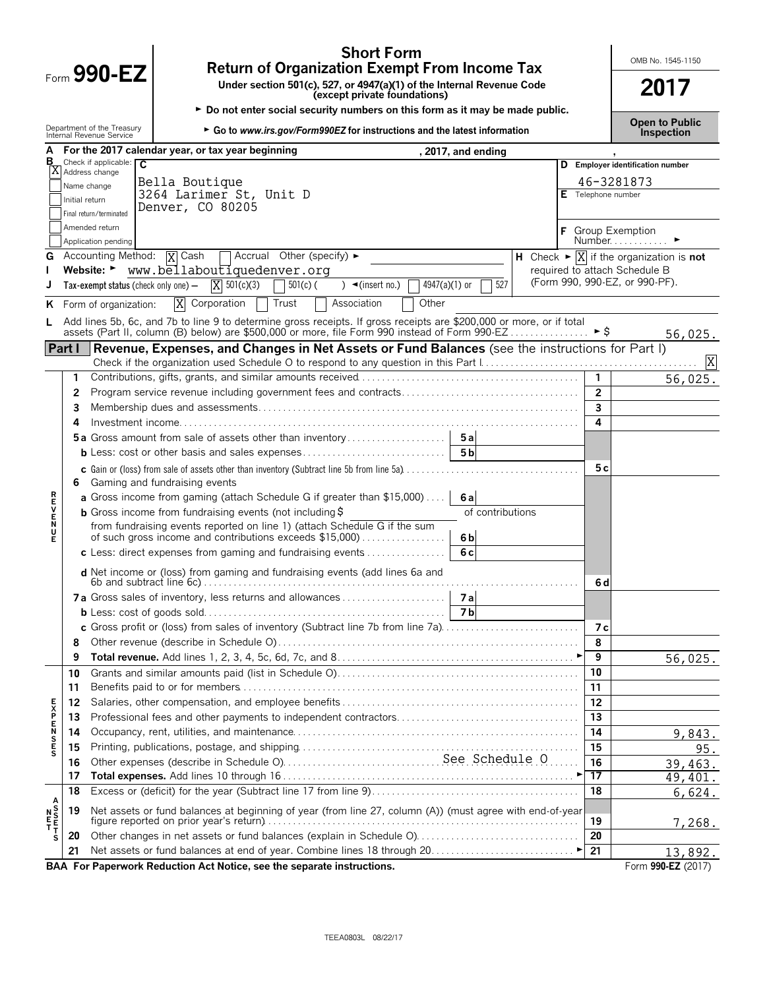|                                |                |                                                        | <b>Short Form</b><br><b>Return of Organization Exempt From Income Tax</b>                                                                               |                                            |                | OMB No. 1545-1150                                                            |
|--------------------------------|----------------|--------------------------------------------------------|---------------------------------------------------------------------------------------------------------------------------------------------------------|--------------------------------------------|----------------|------------------------------------------------------------------------------|
|                                |                | Form 990-EZ                                            |                                                                                                                                                         | 2017                                       |                |                                                                              |
|                                |                | Department of the Treasury<br>Internal Revenue Service | ► Do not enter social security numbers on this form as it may be made public.                                                                           | <b>Open to Public</b><br><b>Inspection</b> |                |                                                                              |
|                                |                |                                                        | For the 2017 calendar year, or tax year beginning<br>, 2017, and ending                                                                                 |                                            |                |                                                                              |
| в                              |                | Check if applicable: $\overline{C}$                    |                                                                                                                                                         |                                            |                | D Employer identification number                                             |
|                                |                | X Address change                                       | Bella Boutique                                                                                                                                          |                                            |                | 46-3281873                                                                   |
|                                |                | Name change                                            | 3264 Larimer St, Unit D                                                                                                                                 |                                            |                | Telephone number                                                             |
|                                | Initial return | Final return/terminated                                | Denver, CO 80205                                                                                                                                        |                                            |                |                                                                              |
|                                |                | Amended return                                         |                                                                                                                                                         |                                            |                |                                                                              |
|                                |                | Application pending                                    |                                                                                                                                                         |                                            |                | <b>Group Exemption</b><br>Number.                                            |
| G                              |                | Accounting Method: $\overline{X}$ Cash                 | $\Box$ Accrual Other (specify) $\blacktriangleright$                                                                                                    |                                            |                | H Check $\blacktriangleright \overline{X}$ if the organization is <b>not</b> |
|                                |                |                                                        | Website: Www.bellaboutiquedenver.org                                                                                                                    |                                            |                | required to attach Schedule B                                                |
|                                |                | Tax-exempt status (check only one) -                   | $X = 501(c)(3)$<br>4947(a)(1) or<br>$501(c)$ (<br>$\rightarrow$ (insert no.)                                                                            | 527                                        |                | (Form 990, 990-EZ, or 990-PF).                                               |
| ĸ.                             |                | Form of organization:                                  | X<br>Corporation<br>Trust<br>Other<br>Association                                                                                                       |                                            |                |                                                                              |
|                                |                |                                                        | Add lines 5b, 6c, and 7b to line 9 to determine gross receipts. If gross receipts are \$200,000 or more, or if total                                    |                                            |                |                                                                              |
|                                |                |                                                        |                                                                                                                                                         |                                            |                | 56,025.                                                                      |
|                                | Part I         |                                                        | Revenue, Expenses, and Changes in Net Assets or Fund Balances (see the instructions for Part I)                                                         |                                            |                |                                                                              |
|                                |                |                                                        |                                                                                                                                                         |                                            |                | X                                                                            |
|                                | 1.             |                                                        |                                                                                                                                                         |                                            | $\mathbf{1}$   | 56,025.                                                                      |
|                                | 2              |                                                        |                                                                                                                                                         |                                            | $\overline{2}$ |                                                                              |
|                                | 3              |                                                        |                                                                                                                                                         |                                            | 3              |                                                                              |
|                                | 4              |                                                        |                                                                                                                                                         |                                            | 4              |                                                                              |
|                                |                |                                                        | 5a Gross amount from sale of assets other than inventory<br>5a                                                                                          |                                            |                |                                                                              |
|                                |                |                                                        | 5 <sub>b</sub><br><b>b</b> Less: cost or other basis and sales expenses                                                                                 |                                            |                |                                                                              |
|                                | 6              |                                                        | c Gain or (loss) from sale of assets other than inventory (Subtract line 5b from line 5a)<br>Gaming and fundraising events                              |                                            | 5 c            |                                                                              |
| ロマドヘアス                         |                |                                                        | a Gross income from gaming (attach Schedule G if greater than \$15,000)<br>6al                                                                          |                                            |                |                                                                              |
|                                |                |                                                        | <b>b</b> Gross income from fundraising events (not including $\frac{1}{2}$ )                                                                            | of contributions                           |                |                                                                              |
|                                |                |                                                        | from fundraising events reported on line 1) (attach Schedule G if the sum<br>of such gross income and contributions exceeds \$15,000)<br>6 <sub>b</sub> |                                            |                |                                                                              |
|                                |                |                                                        | 6c<br>$c$ Less: direct expenses from gaming and fundraising events $\ldots$                                                                             |                                            |                |                                                                              |
|                                |                |                                                        | d Net income or (loss) from gaming and fundraising events (add lines 6a and                                                                             |                                            | 6 d            |                                                                              |
|                                |                |                                                        |                                                                                                                                                         |                                            |                |                                                                              |
|                                |                |                                                        | <b>7b</b>                                                                                                                                               |                                            |                |                                                                              |
|                                |                |                                                        | c Gross profit or (loss) from sales of inventory (Subtract line 7b from line 7a).                                                                       |                                            | 7 с            |                                                                              |
|                                | 8              |                                                        |                                                                                                                                                         |                                            | 8              |                                                                              |
|                                | 9              |                                                        |                                                                                                                                                         |                                            | 9              | 56,025.                                                                      |
|                                | 10             |                                                        |                                                                                                                                                         |                                            | 10             |                                                                              |
|                                | 11             |                                                        |                                                                                                                                                         |                                            | 11             |                                                                              |
|                                | 12             |                                                        |                                                                                                                                                         |                                            | 12             |                                                                              |
|                                | 13             |                                                        |                                                                                                                                                         |                                            | 13             |                                                                              |
| <b>EXPENSES</b>                | 14             |                                                        |                                                                                                                                                         |                                            | 14             | 9,843.                                                                       |
|                                | 15             |                                                        |                                                                                                                                                         |                                            | 15             | 95.                                                                          |
|                                | 16             |                                                        |                                                                                                                                                         |                                            | 16             | 39,463.                                                                      |
|                                | 17             |                                                        |                                                                                                                                                         |                                            | 17             | 49,401.                                                                      |
|                                | 18             |                                                        |                                                                                                                                                         |                                            | 18             | 6,624.                                                                       |
| A<br>N S<br>T T<br>T<br>T<br>S | 19             |                                                        | Net assets or fund balances at beginning of year (from line 27, column (A)) (must agree with end-of-year                                                |                                            |                |                                                                              |
|                                |                |                                                        |                                                                                                                                                         |                                            | 19             | 7,268.                                                                       |
|                                | 20             |                                                        | Other changes in net assets or fund balances (explain in Schedule O)                                                                                    |                                            | 20             |                                                                              |
|                                | 21             |                                                        | <b>DAA</b> For <b>Donomical Deduction</b> Act Notice age the concrete instructions                                                                      |                                            | 21             | 13,892.<br>$E_{\text{arm}}$ 000 E7 (2017)                                    |

**BAA For Paperwork Reduction Act Notice, see the separate instructions. The set of the separate instructions.** Form 990-EZ (2017)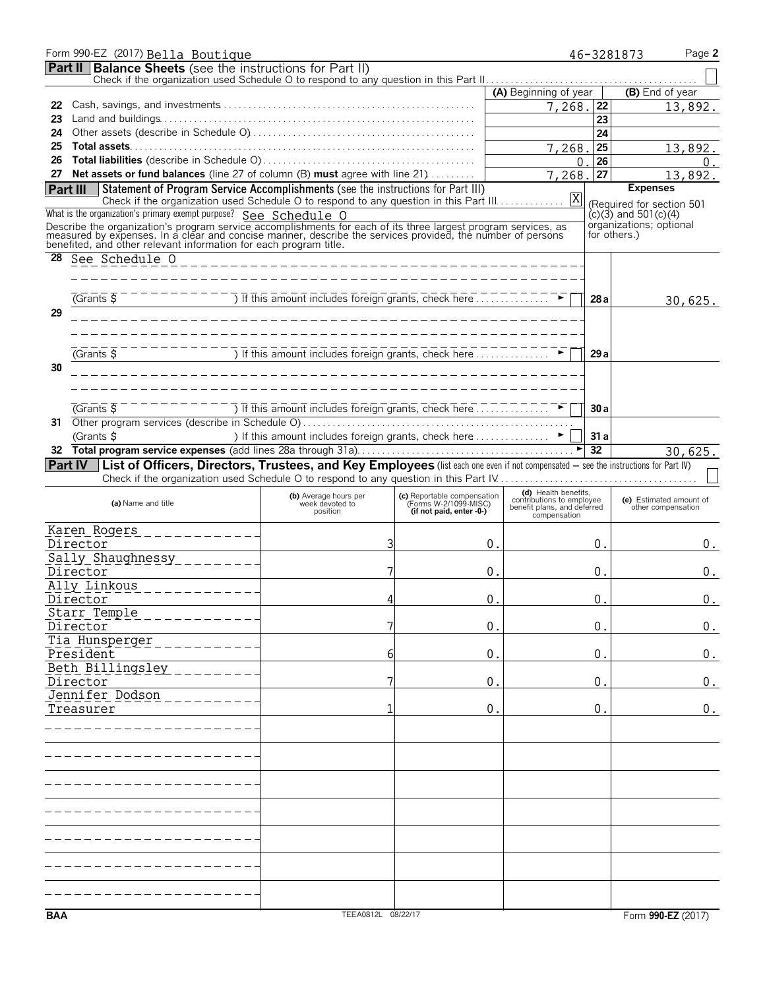|            | Form 990-EZ (2017) Bella Boutique                                                                                                                                                                                            |                                                                                                                                       |                                                      |                                                                                  | 46-3281873      | Page 2                                        |
|------------|------------------------------------------------------------------------------------------------------------------------------------------------------------------------------------------------------------------------------|---------------------------------------------------------------------------------------------------------------------------------------|------------------------------------------------------|----------------------------------------------------------------------------------|-----------------|-----------------------------------------------|
|            | <b>Part II Balance Sheets</b> (see the instructions for Part II)                                                                                                                                                             |                                                                                                                                       |                                                      |                                                                                  |                 |                                               |
|            |                                                                                                                                                                                                                              |                                                                                                                                       |                                                      | (A) Beginning of year                                                            |                 | (B) End of year                               |
| 22         |                                                                                                                                                                                                                              |                                                                                                                                       |                                                      | 7,268.                                                                           | 22              | 13,892.                                       |
| 23         |                                                                                                                                                                                                                              |                                                                                                                                       |                                                      |                                                                                  | 23              |                                               |
| 24         |                                                                                                                                                                                                                              |                                                                                                                                       |                                                      |                                                                                  | 24              |                                               |
| 25         |                                                                                                                                                                                                                              |                                                                                                                                       |                                                      | 7,268.                                                                           | 25              | 13,892.                                       |
| 26<br>27   | Net assets or fund balances (line 27 of column (B) must agree with line 21)                                                                                                                                                  |                                                                                                                                       |                                                      | 0.<br>7,268.                                                                     | 26<br>27        | 0.<br>13,892.                                 |
|            | <b>Part III</b> Statement of Program Service Accomplishments (see the instructions for Part III)                                                                                                                             |                                                                                                                                       |                                                      |                                                                                  |                 | <b>Expenses</b>                               |
|            |                                                                                                                                                                                                                              |                                                                                                                                       |                                                      |                                                                                  |                 | (Required for section 501                     |
|            | What is the organization's primary exempt purpose? See Schedule O                                                                                                                                                            |                                                                                                                                       |                                                      |                                                                                  |                 | $(c)(3)$ and 501 $(c)(4)$                     |
|            | Describe the organization's program service accomplishments for each of its three largest program services, as<br>measured by expenses. In a clear and concise manner, describe the services provided, the number of persons |                                                                                                                                       |                                                      |                                                                                  | for others.)    | organizations; optional                       |
|            | benefited, and other relevant information for each program title.                                                                                                                                                            |                                                                                                                                       |                                                      |                                                                                  |                 |                                               |
| 28         | See Schedule O                                                                                                                                                                                                               |                                                                                                                                       |                                                      |                                                                                  |                 |                                               |
|            |                                                                                                                                                                                                                              |                                                                                                                                       |                                                      |                                                                                  |                 |                                               |
|            | $-$ - - - - - - - - - - - $\frac{1}{\sqrt{1}}$ This amount includes foreign grants, check here $\frac{1}{\sqrt{1}}$<br>$\sqrt{G}$ rants $\overline{S}$                                                                       |                                                                                                                                       |                                                      |                                                                                  | 28 a            | 30,625.                                       |
| 29         |                                                                                                                                                                                                                              |                                                                                                                                       |                                                      |                                                                                  |                 |                                               |
|            |                                                                                                                                                                                                                              |                                                                                                                                       |                                                      |                                                                                  |                 |                                               |
|            |                                                                                                                                                                                                                              |                                                                                                                                       |                                                      |                                                                                  |                 |                                               |
|            | $G$ rants $\overline{S}$                                                                                                                                                                                                     | $\overline{a}$ ) If this amount includes foreign grants, check here $\overline{a}$ , $\overline{a}$ , $\overline{a}$ , $\overline{a}$ |                                                      |                                                                                  | 29a             |                                               |
| 30         |                                                                                                                                                                                                                              |                                                                                                                                       |                                                      |                                                                                  |                 |                                               |
|            |                                                                                                                                                                                                                              |                                                                                                                                       |                                                      |                                                                                  |                 |                                               |
|            | $G$ rants $\overline{S}$                                                                                                                                                                                                     | The This amount includes foreign grants, check here.                                                                                  |                                                      |                                                                                  | 30a             |                                               |
| 31         |                                                                                                                                                                                                                              |                                                                                                                                       |                                                      |                                                                                  |                 |                                               |
|            | (Grants \$                                                                                                                                                                                                                   | ) If this amount includes foreign grants, check here  ▶                                                                               |                                                      |                                                                                  | 31a             |                                               |
|            |                                                                                                                                                                                                                              |                                                                                                                                       |                                                      |                                                                                  | $\overline{32}$ | 30,625.                                       |
|            | Part IV   List of Officers, Directors, Trustees, and Key Employees (list each one even if not compensated - see the instructions for Part IV)                                                                                |                                                                                                                                       |                                                      |                                                                                  |                 |                                               |
|            |                                                                                                                                                                                                                              |                                                                                                                                       |                                                      |                                                                                  |                 |                                               |
|            | (a) Name and title                                                                                                                                                                                                           | (b) Average hours per<br>week devoted to                                                                                              | (c) Reportable compensation<br>(Forms W-2/1099-MISC) | (d) Health benefits,<br>contributions to employee<br>benefit plans, and deferred |                 | (e) Estimated amount of<br>other compensation |
|            |                                                                                                                                                                                                                              | position                                                                                                                              | (if not paid, enter -0-)                             | compensation                                                                     |                 |                                               |
|            | Karen Rogers _____________<br>Director                                                                                                                                                                                       | 3                                                                                                                                     | 0.                                                   |                                                                                  | 0.              | 0.                                            |
|            | Sally Shaughnessy ________                                                                                                                                                                                                   |                                                                                                                                       |                                                      |                                                                                  |                 |                                               |
|            | Director                                                                                                                                                                                                                     |                                                                                                                                       | 0.                                                   |                                                                                  | 0.              | 0.                                            |
|            | Ally Linkous                                                                                                                                                                                                                 |                                                                                                                                       |                                                      |                                                                                  |                 |                                               |
|            | Director                                                                                                                                                                                                                     | Δ                                                                                                                                     | 0                                                    |                                                                                  | 0               | 0.                                            |
|            | Starr Temple                                                                                                                                                                                                                 |                                                                                                                                       |                                                      |                                                                                  |                 |                                               |
|            | Director                                                                                                                                                                                                                     |                                                                                                                                       | 0 <sub>1</sub>                                       |                                                                                  | 0.              | 0.                                            |
|            | Tia Hunsperger<br>President                                                                                                                                                                                                  | 6                                                                                                                                     | 0 <sub>1</sub>                                       |                                                                                  | 0.              | $\boldsymbol{0}$ .                            |
|            | Beth Billingsley                                                                                                                                                                                                             |                                                                                                                                       |                                                      |                                                                                  |                 |                                               |
|            | Director                                                                                                                                                                                                                     |                                                                                                                                       | 0.                                                   |                                                                                  | 0.              | 0.                                            |
|            | Jennifer Dodson                                                                                                                                                                                                              |                                                                                                                                       |                                                      |                                                                                  |                 |                                               |
|            | Treasurer                                                                                                                                                                                                                    |                                                                                                                                       | 0 <sub>1</sub>                                       |                                                                                  | 0.              | 0.                                            |
|            |                                                                                                                                                                                                                              |                                                                                                                                       |                                                      |                                                                                  |                 |                                               |
|            |                                                                                                                                                                                                                              |                                                                                                                                       |                                                      |                                                                                  |                 |                                               |
|            |                                                                                                                                                                                                                              |                                                                                                                                       |                                                      |                                                                                  |                 |                                               |
|            |                                                                                                                                                                                                                              |                                                                                                                                       |                                                      |                                                                                  |                 |                                               |
|            |                                                                                                                                                                                                                              |                                                                                                                                       |                                                      |                                                                                  |                 |                                               |
|            |                                                                                                                                                                                                                              |                                                                                                                                       |                                                      |                                                                                  |                 |                                               |
|            |                                                                                                                                                                                                                              |                                                                                                                                       |                                                      |                                                                                  |                 |                                               |
|            |                                                                                                                                                                                                                              |                                                                                                                                       |                                                      |                                                                                  |                 |                                               |
|            |                                                                                                                                                                                                                              |                                                                                                                                       |                                                      |                                                                                  |                 |                                               |
|            |                                                                                                                                                                                                                              |                                                                                                                                       |                                                      |                                                                                  |                 |                                               |
|            |                                                                                                                                                                                                                              |                                                                                                                                       |                                                      |                                                                                  |                 |                                               |
|            |                                                                                                                                                                                                                              |                                                                                                                                       |                                                      |                                                                                  |                 |                                               |
| <b>BAA</b> |                                                                                                                                                                                                                              | TEEA0812L 08/22/17                                                                                                                    |                                                      |                                                                                  |                 | Form 990-EZ (2017)                            |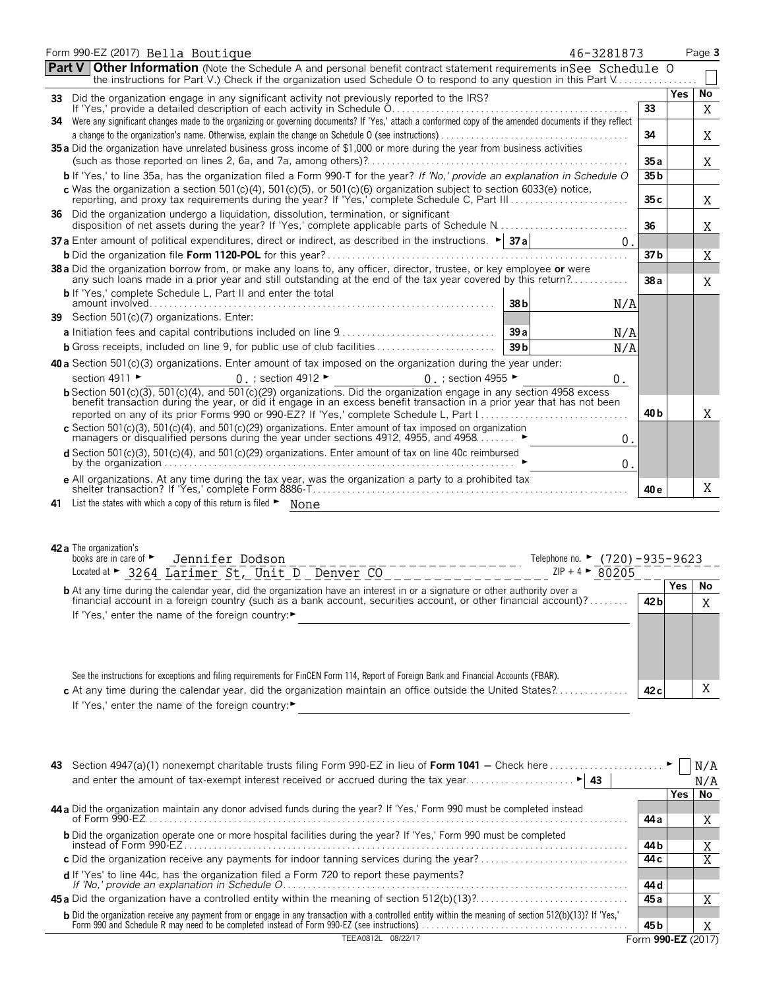|     | Form 990-EZ (2017) Bella Boutique<br>46-3281873                                                                                                                                                                                                                                                                                                                                                                                                                                                                                    |                 |            | Page 3  |
|-----|------------------------------------------------------------------------------------------------------------------------------------------------------------------------------------------------------------------------------------------------------------------------------------------------------------------------------------------------------------------------------------------------------------------------------------------------------------------------------------------------------------------------------------|-----------------|------------|---------|
|     | <b>Part V Other Information</b> (Note the Schedule A and personal benefit contract statement requirements in See Schedule O<br>the instructions for Part V.) Check if the organization used Schedule O to respond to any question in this Part V                                                                                                                                                                                                                                                                                   |                 |            |         |
| 33  | Did the organization engage in any significant activity not previously reported to the IRS?                                                                                                                                                                                                                                                                                                                                                                                                                                        |                 | <b>Yes</b> | No      |
|     | If 'Yes,' provide a detailed description of each activity in Schedule O.<br>Were any significant changes made to the organizing or governing documents? If 'Yes,' attach a conformed copy of the amended documents if they reflect                                                                                                                                                                                                                                                                                                 | 33              |            | X       |
| 34. |                                                                                                                                                                                                                                                                                                                                                                                                                                                                                                                                    | 34              |            | Χ       |
|     | 35 a Did the organization have unrelated business gross income of \$1,000 or more during the year from business activities                                                                                                                                                                                                                                                                                                                                                                                                         |                 |            |         |
|     |                                                                                                                                                                                                                                                                                                                                                                                                                                                                                                                                    | 35 a            |            | Χ       |
|     | b If 'Yes,' to line 35a, has the organization filed a Form 990-T for the year? If 'No,' provide an explanation in Schedule O                                                                                                                                                                                                                                                                                                                                                                                                       | 35 <sub>b</sub> |            |         |
|     | c Was the organization a section $501(c)(4)$ , $501(c)(5)$ , or $501(c)(6)$ organization subject to section 6033(e) notice,                                                                                                                                                                                                                                                                                                                                                                                                        | 35 c            |            | X       |
|     | 36 Did the organization undergo a liquidation, dissolution, termination, or significant                                                                                                                                                                                                                                                                                                                                                                                                                                            | 36              |            | X       |
|     | <b>37 a</b> Enter amount of political expenditures, direct or indirect, as described in the instructions. $\blacktriangleright$ <b>37 a</b><br>0.                                                                                                                                                                                                                                                                                                                                                                                  |                 |            |         |
|     |                                                                                                                                                                                                                                                                                                                                                                                                                                                                                                                                    | 37 b            |            | Χ       |
|     | 38 a Did the organization borrow from, or make any loans to, any officer, director, trustee, or key employee or were<br>any such loans made in a prior year and still outstanding at the end of the tax year covered by this return?                                                                                                                                                                                                                                                                                               | 38 a            |            | Χ       |
|     | <b>b</b> If 'Yes,' complete Schedule L, Part II and enter the total<br>38b<br>N/A                                                                                                                                                                                                                                                                                                                                                                                                                                                  |                 |            |         |
|     | 39 Section 501(c)(7) organizations. Enter:                                                                                                                                                                                                                                                                                                                                                                                                                                                                                         |                 |            |         |
|     | 39a<br>N/A                                                                                                                                                                                                                                                                                                                                                                                                                                                                                                                         |                 |            |         |
|     | 39 <sub>b</sub><br>N/A                                                                                                                                                                                                                                                                                                                                                                                                                                                                                                             |                 |            |         |
|     | 40 a Section 501(c)(3) organizations. Enter amount of tax imposed on the organization during the year under:                                                                                                                                                                                                                                                                                                                                                                                                                       |                 |            |         |
|     | section 4911 ►<br>0. ; section 4912 $\blacktriangleright$<br>0 : section 4955 $\blacktriangleright$<br>0.                                                                                                                                                                                                                                                                                                                                                                                                                          |                 |            |         |
|     | <b>b</b> Section 501(c)( $\overline{3}$ ), 501(c)(4), and 501(c)(29) organizations. Did the organization engage in any section 4958 excess<br>benefit transaction during the year, or did it engage in an excess benefit transaction in a prior year that has not been                                                                                                                                                                                                                                                             |                 |            |         |
|     | reported on any of its prior Forms 990 or 990-EZ? If 'Yes,' complete Schedule L, Part 1                                                                                                                                                                                                                                                                                                                                                                                                                                            | 40 b            |            | X       |
|     | c Section 501(c)(3), 501(c)(4), and 501(c)(29) organizations. Enter amount of tax imposed on organization managers or disqualified persons during the year under sections 4912, 4955, and 4958<br>$\boldsymbol{0}$ .                                                                                                                                                                                                                                                                                                               |                 |            |         |
|     | d Section 501(c)(3), 501(c)(4), and 501(c)(29) organizations. Enter amount of tax on line 40c reimbursed<br>0.                                                                                                                                                                                                                                                                                                                                                                                                                     |                 |            |         |
|     | e All organizations. At any time during the tax year, was the organization a party to a prohibited tax                                                                                                                                                                                                                                                                                                                                                                                                                             | 40 e            |            | X       |
| 41  | List the states with which a copy of this return is filed $\blacktriangleright$ None                                                                                                                                                                                                                                                                                                                                                                                                                                               |                 |            |         |
|     | 42 a The organization's<br>books are in care of $\blacktriangleright$<br>Jennifer Dodson<br>Telephone no. ► $(720) - 935 - 9623$<br>Located at $\triangleright$ 3264 Larimer St, Unit D Denver CO<br>$ZIP + 4$ > 80205<br><b>b</b> At any time during the calendar year, did the organization have an interest in or a signature or other authority over a<br>financial account in a foreign country (such as a bank account, securities account, or other financial account)?<br>If 'Yes,' enter the name of the foreign country: | 42 <sub>b</sub> | Yes        | No<br>X |
|     | See the instructions for exceptions and filing requirements for FinCEN Form 114, Report of Foreign Bank and Financial Accounts (FBAR).<br>c At any time during the calendar year, did the organization maintain an office outside the United States?                                                                                                                                                                                                                                                                               | 42 <sub>c</sub> |            | Χ       |

If 'Yes,' enter the name of the foreign country:

| 43                                                                                                                                                                                                                                     |                    |     | N/A |
|----------------------------------------------------------------------------------------------------------------------------------------------------------------------------------------------------------------------------------------|--------------------|-----|-----|
|                                                                                                                                                                                                                                        |                    |     | N/A |
|                                                                                                                                                                                                                                        |                    | Yes | No  |
| 44 a Did the organization maintain any donor advised funds during the year? If 'Yes,' Form 990 must be completed instead                                                                                                               |                    |     |     |
|                                                                                                                                                                                                                                        | 44 a               |     |     |
| <b>b</b> Did the organization operate one or more hospital facilities during the year? If 'Yes,' Form 990 must be completed                                                                                                            |                    |     |     |
| instead of Form 990-FZ                                                                                                                                                                                                                 | 44 b               |     |     |
|                                                                                                                                                                                                                                        | 44 c               |     |     |
|                                                                                                                                                                                                                                        |                    |     |     |
|                                                                                                                                                                                                                                        | 44 d               |     |     |
|                                                                                                                                                                                                                                        | 45 a               |     |     |
| <b>b</b> Did the organization receive any payment from or engage in any transaction with a controlled entity within the meaning of section 512(b)(13)? If 'Yes,'<br>Form 990 and Schedule R may need to be completed instead of Form 9 |                    |     |     |
|                                                                                                                                                                                                                                        | 45 b               |     |     |
| 08/22/17                                                                                                                                                                                                                               | Form 990-EZ (2017) |     |     |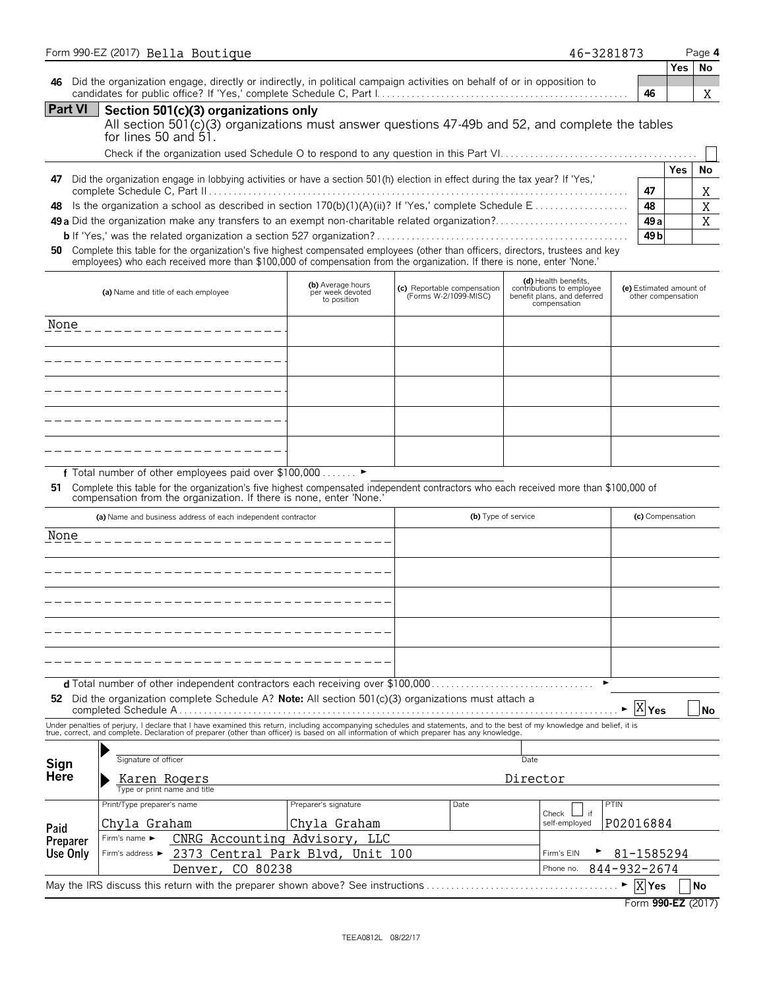|                                                                                                                                |      |                                                      |                                                                                                                                                                                                                         |                                                                                                                                                                                                                                                                                                                                                                                                                                                                                                                                                                                                                                                                                           |                                                                                                                                                                                                                                                                                                                                                                                                               | Page 4                                                                                                                                                                                           |
|--------------------------------------------------------------------------------------------------------------------------------|------|------------------------------------------------------|-------------------------------------------------------------------------------------------------------------------------------------------------------------------------------------------------------------------------|-------------------------------------------------------------------------------------------------------------------------------------------------------------------------------------------------------------------------------------------------------------------------------------------------------------------------------------------------------------------------------------------------------------------------------------------------------------------------------------------------------------------------------------------------------------------------------------------------------------------------------------------------------------------------------------------|---------------------------------------------------------------------------------------------------------------------------------------------------------------------------------------------------------------------------------------------------------------------------------------------------------------------------------------------------------------------------------------------------------------|--------------------------------------------------------------------------------------------------------------------------------------------------------------------------------------------------|
|                                                                                                                                |      |                                                      |                                                                                                                                                                                                                         |                                                                                                                                                                                                                                                                                                                                                                                                                                                                                                                                                                                                                                                                                           | <b>Yes</b>                                                                                                                                                                                                                                                                                                                                                                                                    | No                                                                                                                                                                                               |
|                                                                                                                                |      |                                                      |                                                                                                                                                                                                                         | 46                                                                                                                                                                                                                                                                                                                                                                                                                                                                                                                                                                                                                                                                                        |                                                                                                                                                                                                                                                                                                                                                                                                               | Χ                                                                                                                                                                                                |
| Section 501(c)(3) organizations only                                                                                           |      |                                                      |                                                                                                                                                                                                                         |                                                                                                                                                                                                                                                                                                                                                                                                                                                                                                                                                                                                                                                                                           |                                                                                                                                                                                                                                                                                                                                                                                                               |                                                                                                                                                                                                  |
|                                                                                                                                |      |                                                      |                                                                                                                                                                                                                         |                                                                                                                                                                                                                                                                                                                                                                                                                                                                                                                                                                                                                                                                                           |                                                                                                                                                                                                                                                                                                                                                                                                               | No                                                                                                                                                                                               |
|                                                                                                                                |      |                                                      |                                                                                                                                                                                                                         | 47                                                                                                                                                                                                                                                                                                                                                                                                                                                                                                                                                                                                                                                                                        |                                                                                                                                                                                                                                                                                                                                                                                                               | Χ                                                                                                                                                                                                |
|                                                                                                                                |      |                                                      |                                                                                                                                                                                                                         |                                                                                                                                                                                                                                                                                                                                                                                                                                                                                                                                                                                                                                                                                           |                                                                                                                                                                                                                                                                                                                                                                                                               | X                                                                                                                                                                                                |
|                                                                                                                                |      |                                                      |                                                                                                                                                                                                                         |                                                                                                                                                                                                                                                                                                                                                                                                                                                                                                                                                                                                                                                                                           |                                                                                                                                                                                                                                                                                                                                                                                                               | X                                                                                                                                                                                                |
|                                                                                                                                |      |                                                      |                                                                                                                                                                                                                         |                                                                                                                                                                                                                                                                                                                                                                                                                                                                                                                                                                                                                                                                                           |                                                                                                                                                                                                                                                                                                                                                                                                               |                                                                                                                                                                                                  |
| (b) Average hours<br>per week devoted<br>to position                                                                           |      | (d) Health benefits.<br>compensation                 |                                                                                                                                                                                                                         |                                                                                                                                                                                                                                                                                                                                                                                                                                                                                                                                                                                                                                                                                           |                                                                                                                                                                                                                                                                                                                                                                                                               |                                                                                                                                                                                                  |
|                                                                                                                                |      |                                                      |                                                                                                                                                                                                                         |                                                                                                                                                                                                                                                                                                                                                                                                                                                                                                                                                                                                                                                                                           |                                                                                                                                                                                                                                                                                                                                                                                                               |                                                                                                                                                                                                  |
|                                                                                                                                |      |                                                      |                                                                                                                                                                                                                         |                                                                                                                                                                                                                                                                                                                                                                                                                                                                                                                                                                                                                                                                                           |                                                                                                                                                                                                                                                                                                                                                                                                               |                                                                                                                                                                                                  |
|                                                                                                                                |      |                                                      |                                                                                                                                                                                                                         |                                                                                                                                                                                                                                                                                                                                                                                                                                                                                                                                                                                                                                                                                           |                                                                                                                                                                                                                                                                                                                                                                                                               |                                                                                                                                                                                                  |
|                                                                                                                                |      |                                                      |                                                                                                                                                                                                                         |                                                                                                                                                                                                                                                                                                                                                                                                                                                                                                                                                                                                                                                                                           |                                                                                                                                                                                                                                                                                                                                                                                                               |                                                                                                                                                                                                  |
|                                                                                                                                |      |                                                      |                                                                                                                                                                                                                         |                                                                                                                                                                                                                                                                                                                                                                                                                                                                                                                                                                                                                                                                                           |                                                                                                                                                                                                                                                                                                                                                                                                               |                                                                                                                                                                                                  |
| f Total number of other employees paid over \$100,000 ▶<br>compensation from the organization. If there is none, enter 'None.' |      |                                                      |                                                                                                                                                                                                                         |                                                                                                                                                                                                                                                                                                                                                                                                                                                                                                                                                                                                                                                                                           |                                                                                                                                                                                                                                                                                                                                                                                                               |                                                                                                                                                                                                  |
| (a) Name and business address of each independent contractor                                                                   |      |                                                      |                                                                                                                                                                                                                         |                                                                                                                                                                                                                                                                                                                                                                                                                                                                                                                                                                                                                                                                                           |                                                                                                                                                                                                                                                                                                                                                                                                               |                                                                                                                                                                                                  |
|                                                                                                                                |      |                                                      |                                                                                                                                                                                                                         |                                                                                                                                                                                                                                                                                                                                                                                                                                                                                                                                                                                                                                                                                           |                                                                                                                                                                                                                                                                                                                                                                                                               |                                                                                                                                                                                                  |
|                                                                                                                                |      |                                                      |                                                                                                                                                                                                                         |                                                                                                                                                                                                                                                                                                                                                                                                                                                                                                                                                                                                                                                                                           |                                                                                                                                                                                                                                                                                                                                                                                                               |                                                                                                                                                                                                  |
|                                                                                                                                |      |                                                      |                                                                                                                                                                                                                         |                                                                                                                                                                                                                                                                                                                                                                                                                                                                                                                                                                                                                                                                                           |                                                                                                                                                                                                                                                                                                                                                                                                               |                                                                                                                                                                                                  |
|                                                                                                                                |      |                                                      |                                                                                                                                                                                                                         |                                                                                                                                                                                                                                                                                                                                                                                                                                                                                                                                                                                                                                                                                           |                                                                                                                                                                                                                                                                                                                                                                                                               |                                                                                                                                                                                                  |
|                                                                                                                                |      |                                                      |                                                                                                                                                                                                                         |                                                                                                                                                                                                                                                                                                                                                                                                                                                                                                                                                                                                                                                                                           |                                                                                                                                                                                                                                                                                                                                                                                                               |                                                                                                                                                                                                  |
|                                                                                                                                |      |                                                      |                                                                                                                                                                                                                         |                                                                                                                                                                                                                                                                                                                                                                                                                                                                                                                                                                                                                                                                                           |                                                                                                                                                                                                                                                                                                                                                                                                               |                                                                                                                                                                                                  |
|                                                                                                                                |      |                                                      |                                                                                                                                                                                                                         |                                                                                                                                                                                                                                                                                                                                                                                                                                                                                                                                                                                                                                                                                           |                                                                                                                                                                                                                                                                                                                                                                                                               |                                                                                                                                                                                                  |
|                                                                                                                                |      |                                                      |                                                                                                                                                                                                                         |                                                                                                                                                                                                                                                                                                                                                                                                                                                                                                                                                                                                                                                                                           |                                                                                                                                                                                                                                                                                                                                                                                                               |                                                                                                                                                                                                  |
|                                                                                                                                |      |                                                      |                                                                                                                                                                                                                         |                                                                                                                                                                                                                                                                                                                                                                                                                                                                                                                                                                                                                                                                                           |                                                                                                                                                                                                                                                                                                                                                                                                               |                                                                                                                                                                                                  |
|                                                                                                                                |      |                                                      |                                                                                                                                                                                                                         |                                                                                                                                                                                                                                                                                                                                                                                                                                                                                                                                                                                                                                                                                           |                                                                                                                                                                                                                                                                                                                                                                                                               | No                                                                                                                                                                                               |
|                                                                                                                                |      |                                                      |                                                                                                                                                                                                                         |                                                                                                                                                                                                                                                                                                                                                                                                                                                                                                                                                                                                                                                                                           |                                                                                                                                                                                                                                                                                                                                                                                                               |                                                                                                                                                                                                  |
|                                                                                                                                |      | Date                                                 |                                                                                                                                                                                                                         |                                                                                                                                                                                                                                                                                                                                                                                                                                                                                                                                                                                                                                                                                           |                                                                                                                                                                                                                                                                                                                                                                                                               |                                                                                                                                                                                                  |
|                                                                                                                                |      |                                                      |                                                                                                                                                                                                                         |                                                                                                                                                                                                                                                                                                                                                                                                                                                                                                                                                                                                                                                                                           |                                                                                                                                                                                                                                                                                                                                                                                                               |                                                                                                                                                                                                  |
|                                                                                                                                |      |                                                      |                                                                                                                                                                                                                         |                                                                                                                                                                                                                                                                                                                                                                                                                                                                                                                                                                                                                                                                                           |                                                                                                                                                                                                                                                                                                                                                                                                               |                                                                                                                                                                                                  |
| Preparer's signature                                                                                                           | Date |                                                      | <b>PTIN</b>                                                                                                                                                                                                             |                                                                                                                                                                                                                                                                                                                                                                                                                                                                                                                                                                                                                                                                                           |                                                                                                                                                                                                                                                                                                                                                                                                               |                                                                                                                                                                                                  |
| Chyla Graham                                                                                                                   |      | Check<br>if<br>self-employed                         | P02016884                                                                                                                                                                                                               |                                                                                                                                                                                                                                                                                                                                                                                                                                                                                                                                                                                                                                                                                           |                                                                                                                                                                                                                                                                                                                                                                                                               |                                                                                                                                                                                                  |
| CNRG Accounting Advisory, LLC                                                                                                  |      |                                                      |                                                                                                                                                                                                                         |                                                                                                                                                                                                                                                                                                                                                                                                                                                                                                                                                                                                                                                                                           |                                                                                                                                                                                                                                                                                                                                                                                                               |                                                                                                                                                                                                  |
| 2373 Central Park Blvd, Unit 100                                                                                               |      | Firm's EIN                                           |                                                                                                                                                                                                                         | 81-1585294                                                                                                                                                                                                                                                                                                                                                                                                                                                                                                                                                                                                                                                                                |                                                                                                                                                                                                                                                                                                                                                                                                               |                                                                                                                                                                                                  |
| CO 80238<br>May the IRS discuss this return with the preparer shown above? See instructions                                    |      | Phone no.                                            | 844-932-2674                                                                                                                                                                                                            | X Yes                                                                                                                                                                                                                                                                                                                                                                                                                                                                                                                                                                                                                                                                                     |                                                                                                                                                                                                                                                                                                                                                                                                               | No                                                                                                                                                                                               |
|                                                                                                                                |      | (c) Reportable compensation<br>(Forms W-2/1099-MISC) | (b) Type of service<br>d Total number of other independent contractors each receiving over \$100,000<br>Did the organization complete Schedule A? Note: All section $501(c)(3)$ organizations must attach a<br>Director | Did the organization engage, directly or indirectly, in political campaign activities on behalf of or in opposition to<br>Did the organization engage in lobbying activities or have a section 501(h) election in effect during the tax year? If 'Yes,'<br>Is the organization a school as described in section 170(b)(1)(A)(ii)? If 'Yes,' complete Schedule E<br>Complete this table for the organization's five highest compensated employees (other than officers, directors, trustees and key<br>employees) who each received more than \$100,000 of compensation from the organization. If there is none, enter 'None.'<br>contributions to employee<br>benefit plans, and deferred | 46-3281873<br>48<br>49 a<br>49 b<br>Complete this table for the organization's five highest compensated independent contractors who each received more than \$100,000 of<br>Under penalties of perjury, I declare that I have examined this return, including accompanying schedules and statements, and to the best of my knowledge and belief, it is<br>true, correct, and complete. Declaration of prepare | All section 501(c)(3) organizations must answer questions 47-49b and 52, and complete the tables<br>Yes<br>(e) Estimated amount of<br>other compensation<br>(c) Compensation<br>X <sub>Yes</sub> |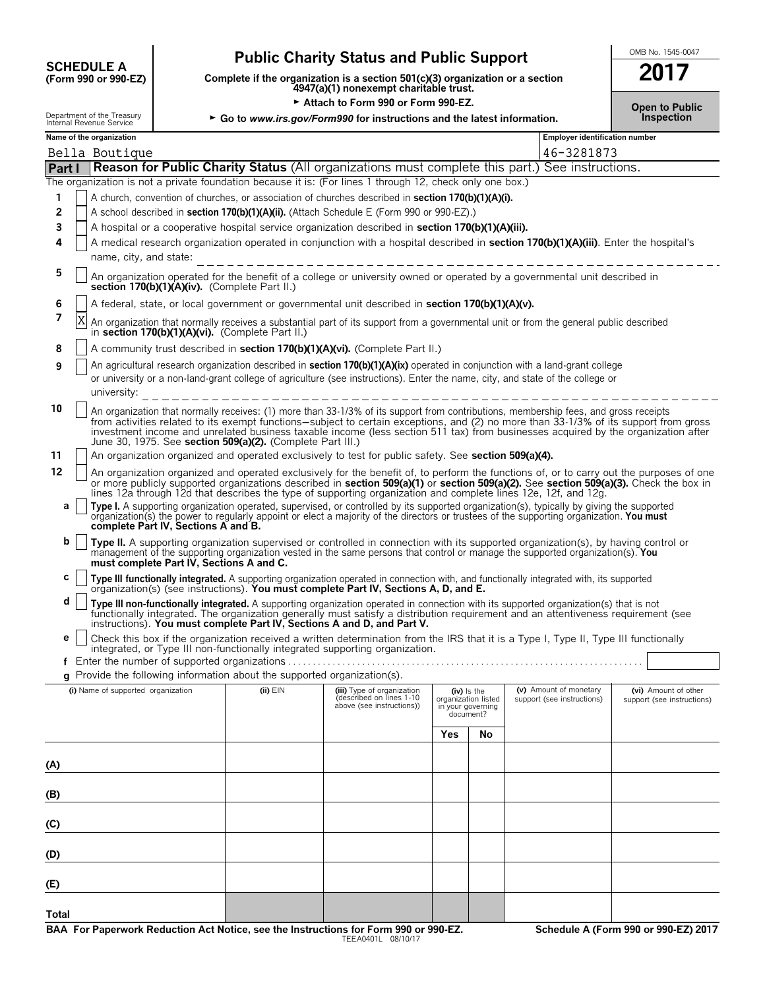# **CHEDULE A** Public Charity Status and Public Support<br>
(Form 990 or 990-EZ) Complete if the organization is a section 501(c)(3) organization or a section

**COMPOUTE A**<br>(Form 990 or 990-EZ) Complete if the organization is a section 501(c)(3) organization or a section<br>4947(a)(1) nonexempt charitable trust.

► Attach to Form 990 or Form 990-EZ.<br>gov/Form990 for instructions and the latest information. **Democial conducts** inspection Department of the Treasury  $\rightarrow$  Go to *www.irs.gov/Form990 for instructions and the latest information.* 

| . . | .                             |  |  |
|-----|-------------------------------|--|--|
|     |                               |  |  |
|     | <b>INCHER REVENUE OFIVILE</b> |  |  |

| Name of the organization                                                                                                                                                                                                                                |                                                                                                               |                                                      |     |                                          | <b>Employer identification number</b> |                            |  |  |  |
|---------------------------------------------------------------------------------------------------------------------------------------------------------------------------------------------------------------------------------------------------------|---------------------------------------------------------------------------------------------------------------|------------------------------------------------------|-----|------------------------------------------|---------------------------------------|----------------------------|--|--|--|
| Bella Boutique                                                                                                                                                                                                                                          | 46-3281873<br>Reason for Public Charity Status (All organizations must complete this part.) See instructions. |                                                      |     |                                          |                                       |                            |  |  |  |
| Part I                                                                                                                                                                                                                                                  |                                                                                                               |                                                      |     |                                          |                                       |                            |  |  |  |
| The organization is not a private foundation because it is: (For lines 1 through 12, check only one box.)                                                                                                                                               |                                                                                                               |                                                      |     |                                          |                                       |                            |  |  |  |
| A church, convention of churches, or association of churches described in section 170(b)(1)(A)(i).<br>1                                                                                                                                                 |                                                                                                               |                                                      |     |                                          |                                       |                            |  |  |  |
| 2<br>A school described in section 170(b)(1)(A)(ii). (Attach Schedule E (Form 990 or 990-EZ).)                                                                                                                                                          |                                                                                                               |                                                      |     |                                          |                                       |                            |  |  |  |
| 3<br>A hospital or a cooperative hospital service organization described in section 170(b)(1)(A)(iii).                                                                                                                                                  |                                                                                                               |                                                      |     |                                          |                                       |                            |  |  |  |
| A medical research organization operated in conjunction with a hospital described in section 170(b)(1)(A)(iii). Enter the hospital's<br>4                                                                                                               |                                                                                                               |                                                      |     |                                          |                                       |                            |  |  |  |
| name, city, and state:                                                                                                                                                                                                                                  |                                                                                                               |                                                      |     |                                          |                                       |                            |  |  |  |
| 5<br>An organization operated for the benefit of a college or university owned or operated by a governmental unit described in<br>section 170(b)(1)(A)(iv). (Complete Part II.)                                                                         |                                                                                                               |                                                      |     |                                          |                                       |                            |  |  |  |
| 6<br>A federal, state, or local government or governmental unit described in section 170(b)(1)(A)(v).                                                                                                                                                   |                                                                                                               |                                                      |     |                                          |                                       |                            |  |  |  |
| 7<br>X<br>An organization that normally receives a substantial part of its support from a governmental unit or from the general public described<br>in section 170(b)(1)(A)(vi). (Complete Part II.)                                                    |                                                                                                               |                                                      |     |                                          |                                       |                            |  |  |  |
| A community trust described in section 170(b)(1)(A)(vi). (Complete Part II.)<br>8                                                                                                                                                                       |                                                                                                               |                                                      |     |                                          |                                       |                            |  |  |  |
| An agricultural research organization described in section 170(b)(1)(A)(ix) operated in conjunction with a land-grant college<br>9                                                                                                                      |                                                                                                               |                                                      |     |                                          |                                       |                            |  |  |  |
| or university or a non-land-grant college of agriculture (see instructions). Enter the name, city, and state of the college or                                                                                                                          |                                                                                                               |                                                      |     |                                          |                                       |                            |  |  |  |
| university:                                                                                                                                                                                                                                             |                                                                                                               | ____________________________                         |     |                                          |                                       |                            |  |  |  |
| 10<br>An organization that normally receives: (1) more than 33-1/3% of its support from contributions, membership fees, and gross receipts                                                                                                              |                                                                                                               |                                                      |     |                                          |                                       |                            |  |  |  |
| from activities related to its exempt functions—subject to certain exceptions, and (2) no more than 33-1/3% of its support from gross                                                                                                                   |                                                                                                               |                                                      |     |                                          |                                       |                            |  |  |  |
| investment income and unrelated business taxable income (less section 511 tax) from businesses acquired by the organization after<br>June 30, 1975. See section 509(a)(2). (Complete Part III.)                                                         |                                                                                                               |                                                      |     |                                          |                                       |                            |  |  |  |
| An organization organized and operated exclusively to test for public safety. See section 509(a)(4).<br>11                                                                                                                                              |                                                                                                               |                                                      |     |                                          |                                       |                            |  |  |  |
| 12<br>An organization organized and operated exclusively for the benefit of, to perform the functions of, or to carry out the purposes of one                                                                                                           |                                                                                                               |                                                      |     |                                          |                                       |                            |  |  |  |
| or more publicly supported organizations described in section 509(a)(1) or section 509(a)(2). See section 509(a)(3). Check the box in<br>lines 12a through 12d that describes the type of supporting organization and complete lines 12e, 12f, and 12g. |                                                                                                               |                                                      |     |                                          |                                       |                            |  |  |  |
| Type I. A supporting organization operated, supervised, or controlled by its supported organization(s), typically by giving the supported<br>а                                                                                                          |                                                                                                               |                                                      |     |                                          |                                       |                            |  |  |  |
| organization(s) the power to regularly appoint or elect a majority of the directors or trustees of the supporting organization. You must<br>complete Part IV, Sections A and B.                                                                         |                                                                                                               |                                                      |     |                                          |                                       |                            |  |  |  |
| b<br>Type II. A supporting organization supervised or controlled in connection with its supported organization(s), by having control or                                                                                                                 |                                                                                                               |                                                      |     |                                          |                                       |                            |  |  |  |
| management of the supporting organization vested in the same persons that control or manage the supported organization(s). You<br>must complete Part IV, Sections A and C.                                                                              |                                                                                                               |                                                      |     |                                          |                                       |                            |  |  |  |
| с                                                                                                                                                                                                                                                       |                                                                                                               |                                                      |     |                                          |                                       |                            |  |  |  |
| Type III functionally integrated. A supporting organization operated in connection with, and functionally integrated with, its supported organization(s) (see instructions). You must complete Part IV, Sections A, D, and E.                           |                                                                                                               |                                                      |     |                                          |                                       |                            |  |  |  |
| d<br>Type III non-functionally integrated. A supporting organization operated in connection with its supported organization(s) that is not functionally integrated. The organization generally must satisfy a distribution requirem                     |                                                                                                               |                                                      |     |                                          |                                       |                            |  |  |  |
| instructions). You must complete Part IV, Sections A and D, and Part V.                                                                                                                                                                                 |                                                                                                               |                                                      |     |                                          |                                       |                            |  |  |  |
| Check this box if the organization received a written determination from the IRS that it is a Type I, Type II, Type III functionally<br>е                                                                                                               |                                                                                                               |                                                      |     |                                          |                                       |                            |  |  |  |
| integrated, or Type III non-functionally integrated supporting organization.                                                                                                                                                                            |                                                                                                               |                                                      |     |                                          |                                       |                            |  |  |  |
| f                                                                                                                                                                                                                                                       |                                                                                                               |                                                      |     |                                          |                                       |                            |  |  |  |
| g Provide the following information about the supported organization(s).                                                                                                                                                                                |                                                                                                               |                                                      |     |                                          |                                       |                            |  |  |  |
| (i) Name of supported organization                                                                                                                                                                                                                      | $(ii)$ $EIN$                                                                                                  | (iii) Type of organization                           |     | (iv) Is the                              | (v) Amount of monetary                | (vi) Amount of other       |  |  |  |
|                                                                                                                                                                                                                                                         |                                                                                                               | described on lines 1-10<br>above (see instructions)) |     | organization listed<br>in your governing | support (see instructions)            | support (see instructions) |  |  |  |
|                                                                                                                                                                                                                                                         |                                                                                                               |                                                      |     | document?                                |                                       |                            |  |  |  |
|                                                                                                                                                                                                                                                         |                                                                                                               |                                                      | Yes | No                                       |                                       |                            |  |  |  |
|                                                                                                                                                                                                                                                         |                                                                                                               |                                                      |     |                                          |                                       |                            |  |  |  |
| (A)                                                                                                                                                                                                                                                     |                                                                                                               |                                                      |     |                                          |                                       |                            |  |  |  |
|                                                                                                                                                                                                                                                         |                                                                                                               |                                                      |     |                                          |                                       |                            |  |  |  |
| (B)                                                                                                                                                                                                                                                     |                                                                                                               |                                                      |     |                                          |                                       |                            |  |  |  |
|                                                                                                                                                                                                                                                         |                                                                                                               |                                                      |     |                                          |                                       |                            |  |  |  |
| (C)                                                                                                                                                                                                                                                     |                                                                                                               |                                                      |     |                                          |                                       |                            |  |  |  |
|                                                                                                                                                                                                                                                         |                                                                                                               |                                                      |     |                                          |                                       |                            |  |  |  |
| (D)                                                                                                                                                                                                                                                     |                                                                                                               |                                                      |     |                                          |                                       |                            |  |  |  |
|                                                                                                                                                                                                                                                         |                                                                                                               |                                                      |     |                                          |                                       |                            |  |  |  |
| (E)                                                                                                                                                                                                                                                     |                                                                                                               |                                                      |     |                                          |                                       |                            |  |  |  |
|                                                                                                                                                                                                                                                         |                                                                                                               |                                                      |     |                                          |                                       |                            |  |  |  |
| Total                                                                                                                                                                                                                                                   |                                                                                                               |                                                      |     |                                          |                                       |                            |  |  |  |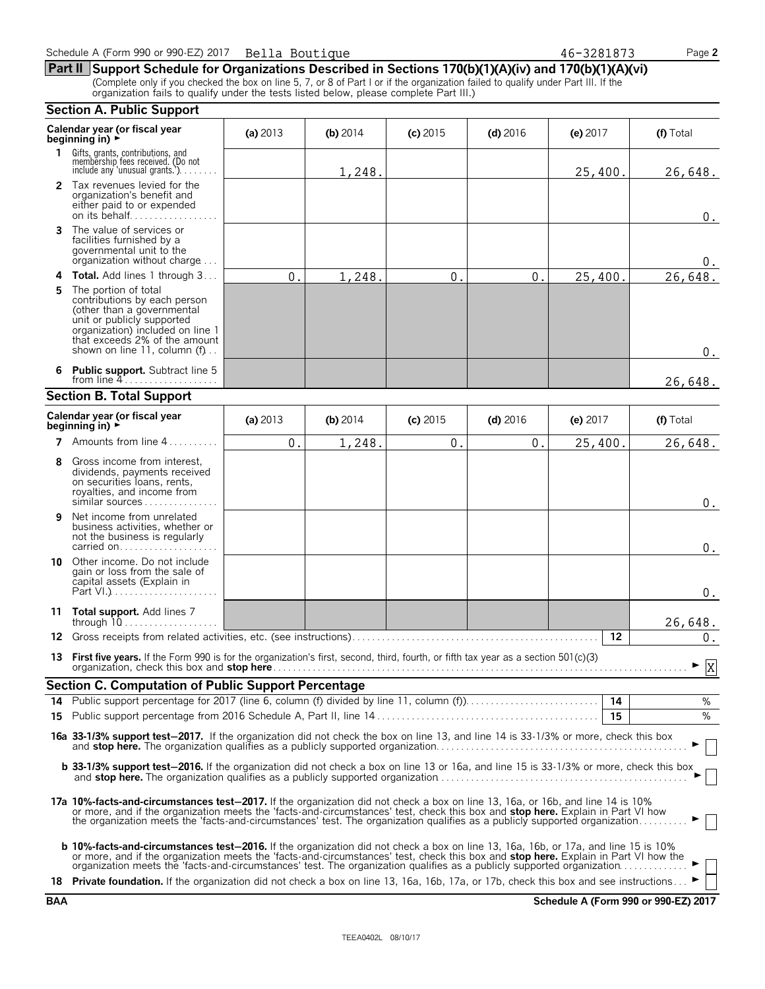|     | <b>Section A. Public Support</b>                                                                                                                                                                                                                                                                                                                                                                           |            |            |            |            |            |           |
|-----|------------------------------------------------------------------------------------------------------------------------------------------------------------------------------------------------------------------------------------------------------------------------------------------------------------------------------------------------------------------------------------------------------------|------------|------------|------------|------------|------------|-----------|
|     | Calendar year (or fiscal year<br>beginning in) $\rightarrow$                                                                                                                                                                                                                                                                                                                                               | (a) $2013$ | (b) $2014$ | $(c)$ 2015 | $(d)$ 2016 | (e) $2017$ | (f) Total |
| 1.  | Gifts, grants, contributions, and<br>membership fees received. (Do not<br>include any 'unusual grants.'). $\dots$                                                                                                                                                                                                                                                                                          |            | 1,248.     |            |            | 25,400.    | 26,648.   |
|     | 2 Tax revenues levied for the<br>organization's benefit and<br>either paid to or expended<br>on its behalf                                                                                                                                                                                                                                                                                                 |            |            |            |            |            | $0$ .     |
| 3   | The value of services or<br>facilities furnished by a<br>governmental unit to the<br>organization without charge                                                                                                                                                                                                                                                                                           |            |            |            |            |            | 0.        |
| 4   | Total. Add lines 1 through 3                                                                                                                                                                                                                                                                                                                                                                               | 0.         | 1,248.     | $0$ .      | 0.         | 25,400.    | 26,648.   |
| 5.  | The portion of total<br>contributions by each person<br>(other than a governmental<br>unit or publicly supported<br>organization) included on line 1<br>that exceeds 2% of the amount<br>shown on line 11, column (f)                                                                                                                                                                                      |            |            |            |            |            | $0_{.}$   |
| 6.  | <b>Public support.</b> Subtract line 5<br>from line $4$                                                                                                                                                                                                                                                                                                                                                    |            |            |            |            |            | 26,648.   |
|     | <b>Section B. Total Support</b>                                                                                                                                                                                                                                                                                                                                                                            |            |            |            |            |            |           |
|     | Calendar year (or fiscal year<br>beginning in) $\rightarrow$                                                                                                                                                                                                                                                                                                                                               | (a) $2013$ | (b) $2014$ | $(c)$ 2015 | $(d)$ 2016 | (e) $2017$ | (f) Total |
|     | <b>7</b> Amounts from line $4, \ldots, \ldots$                                                                                                                                                                                                                                                                                                                                                             | 0.         | 1,248.     | $0$ .      | 0.         | 25,400.    | 26,648.   |
| 8   | Gross income from interest,<br>dividends, payments received<br>on securities loans, rents,<br>royalties, and income from<br>similar sources                                                                                                                                                                                                                                                                |            |            |            |            |            | $0$ .     |
| 9   | Net income from unrelated<br>business activities, whether or<br>not the business is regularly<br>carried on                                                                                                                                                                                                                                                                                                |            |            |            |            |            | $0$ .     |
| 10  | Other income. Do not include<br>gain or loss from the sale of<br>capital assets (Explain in                                                                                                                                                                                                                                                                                                                |            |            |            |            |            | $0$ .     |
|     | 11 Total support. Add lines 7                                                                                                                                                                                                                                                                                                                                                                              |            |            |            |            |            | 26,648.   |
| 12. |                                                                                                                                                                                                                                                                                                                                                                                                            |            |            |            |            | 12         | 0.        |
| 13  | First five years. If the Form 990 is for the organization's first, second, third, fourth, or fifth tax year as a section 501(c)(3)                                                                                                                                                                                                                                                                         |            |            |            |            |            | X         |
|     | <b>Section C. Computation of Public Support Percentage</b>                                                                                                                                                                                                                                                                                                                                                 |            |            |            |            |            |           |
| 14  |                                                                                                                                                                                                                                                                                                                                                                                                            |            |            |            |            |            | %         |
| 15  |                                                                                                                                                                                                                                                                                                                                                                                                            |            |            |            |            | 15         | %         |
|     | 16a 33-1/3% support test-2017. If the organization did not check the box on line 13, and line 14 is 33-1/3% or more, check this box                                                                                                                                                                                                                                                                        |            |            |            |            |            |           |
|     | b 33-1/3% support test-2016. If the organization did not check a box on line 13 or 16a, and line 15 is 33-1/3% or more, check this box                                                                                                                                                                                                                                                                     |            |            |            |            |            |           |
|     | 17a 10%-facts-and-circumstances test-2017. If the organization did not check a box on line 13, 16a, or 16b, and line 14 is 10%<br>or more, and if the organization meets the 'facts-and-circumstances' test, check this box and stop here. Explain in Part VI how<br>the organization meets the 'facts-and-circumstances' test. The organization qualifies as a publicly supported organization            |            |            |            |            |            |           |
|     | <b>b 10%-facts-and-circumstances test-2016.</b> If the organization did not check a box on line 13, 16a, 16b, or 17a, and line 15 is 10%<br>or more, and if the organization meets the 'facts-and-circumstances' test, check this box and stop here. Explain in Part VI how the<br>organization meets the 'facts and circumstances' test. The organization qualifies as a publicly supported organization. |            |            |            |            |            |           |
|     | 18 Private foundation. If the organization did not check a box on line 13, 16a, 16b, 17a, or 17b, check this box and see instructions                                                                                                                                                                                                                                                                      |            |            |            |            |            |           |

**BAA Schedule A (Form 990 or 990-EZ) 2017**

| Schedule A (Form 990 or 990-EZ) 2017 | Bella Boutique | 46-328187^ | Page 2 |
|--------------------------------------|----------------|------------|--------|
|--------------------------------------|----------------|------------|--------|

**Part II Support Schedule for Organizations Described in Sections 170(b)(1)(A)(iv) and 170(b)(1)(A)(vi)** (Complete only if you checked the box on line 5, 7, or 8 of Part I or if the organization failed to qualify under Part III. If the organization fails to qualify under the tests listed below, please complete Part III.)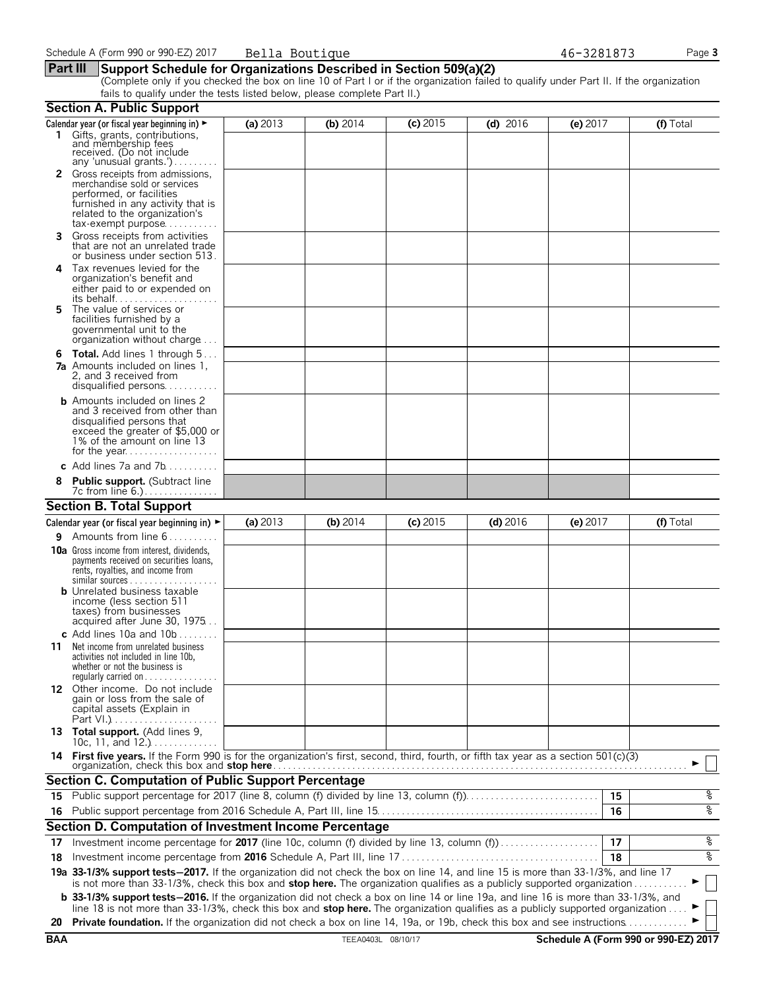#### **Part III Support Schedule for Organizations Described in Section 509(a)(2)**

(Complete only if you checked the box on line 10 of Part I or if the organization failed to qualify under Part II. If the organization fails to qualify under the tests listed below, please complete Part II.)

|            | <b>Section A. Public Support</b>                                                                                                                                                                                                                               |          |                    |            |            |          |                                      |
|------------|----------------------------------------------------------------------------------------------------------------------------------------------------------------------------------------------------------------------------------------------------------------|----------|--------------------|------------|------------|----------|--------------------------------------|
|            | Calendar year (or fiscal year beginning in) ►                                                                                                                                                                                                                  | (a) 2013 | (b) $2014$         | $(c)$ 2015 | $(d)$ 2016 | (e) 2017 | (f) Total                            |
|            | 1 Gifts, grants, contributions,<br>and membership fees<br>received. (Do not include<br>any 'unusual grants.')                                                                                                                                                  |          |                    |            |            |          |                                      |
|            | Gross receipts from admissions,<br>merchandise sold or services<br>performed, or facilities<br>furnished in any activity that is<br>related to the organization's<br>$tax\text{-}exempt$ purpose                                                               |          |                    |            |            |          |                                      |
| 3.         | Gross receipts from activities<br>that are not an unrelated trade<br>or business under section 513.                                                                                                                                                            |          |                    |            |            |          |                                      |
| 4          | Tax revenues levied for the<br>organization's benefit and<br>either paid to or expended on<br>its behalf                                                                                                                                                       |          |                    |            |            |          |                                      |
| 5.         | The value of services or<br>facilities furnished by a<br>governmental unit to the<br>organization without charge                                                                                                                                               |          |                    |            |            |          |                                      |
|            | <b>6 Total.</b> Add lines 1 through 5<br><b>7a</b> Amounts included on lines 1,<br>2, and 3 received from<br>disqualified persons                                                                                                                              |          |                    |            |            |          |                                      |
|            | <b>b</b> Amounts included on lines 2<br>and 3 received from other than<br>disqualified persons that<br>exceed the greater of \$5,000 or<br>1% of the amount on line 13                                                                                         |          |                    |            |            |          |                                      |
|            | c Add lines $7a$ and $7b$                                                                                                                                                                                                                                      |          |                    |            |            |          |                                      |
|            | <b>Public support.</b> (Subtract line                                                                                                                                                                                                                          |          |                    |            |            |          |                                      |
|            | <b>Section B. Total Support</b>                                                                                                                                                                                                                                |          |                    |            |            |          |                                      |
|            | Calendar year (or fiscal year beginning in) $\blacktriangleright$                                                                                                                                                                                              | (a) 2013 | (b) 2014           | $(c)$ 2015 | $(d)$ 2016 | (e) 2017 | (f) Total                            |
| 9.         | Amounts from line 6                                                                                                                                                                                                                                            |          |                    |            |            |          |                                      |
|            | <b>10a</b> Gross income from interest, dividends,<br>payments received on securities loans,<br>rents, royalties, and income from<br><b>b</b> Unrelated business taxable                                                                                        |          |                    |            |            |          |                                      |
|            | income (less section 511<br>taxes) from businesses<br>acquired after June 30, 1975<br>c Add lines 10a and $10b$                                                                                                                                                |          |                    |            |            |          |                                      |
| 11         | Net income from unrelated business<br>activities not included in line 10b,<br>whether or not the business is<br>regularly carried on $\dots\dots\dots\dots\dots$                                                                                               |          |                    |            |            |          |                                      |
|            | 12 Other income. Do not include<br>gain or loss from the sale of<br>capital assets (Explain in                                                                                                                                                                 |          |                    |            |            |          |                                      |
|            | 13 Total support. (Add lines 9,<br>10c, 11, and $12.$ )                                                                                                                                                                                                        |          |                    |            |            |          |                                      |
|            | 14 First five years. If the Form 990 is for the organization's first, second, third, fourth, or fifth tax year as a section 501(c)(3)                                                                                                                          |          |                    |            |            |          |                                      |
|            | <b>Section C. Computation of Public Support Percentage</b>                                                                                                                                                                                                     |          |                    |            |            |          |                                      |
| 15         | Public support percentage for 2017 (line 8, column (f) divided by line 13, column (f)                                                                                                                                                                          |          |                    |            |            | 15       | နွ                                   |
|            |                                                                                                                                                                                                                                                                |          |                    |            |            | 16       | နွ                                   |
|            | Section D. Computation of Investment Income Percentage                                                                                                                                                                                                         |          |                    |            |            |          |                                      |
| 17         | Investment income percentage for 2017 (line 10c, column (f) divided by line 13, column (f)                                                                                                                                                                     |          |                    |            |            | 17       | နွ                                   |
| 18         |                                                                                                                                                                                                                                                                |          |                    |            |            | 18       | နွ                                   |
|            | 19a 33-1/3% support tests-2017. If the organization did not check the box on line 14, and line 15 is more than 33-1/3%, and line 17<br>is not more than 33-1/3%, check this box and stop here. The organization qualifies as a publicly supported organization |          |                    |            |            |          |                                      |
|            | <b>b</b> 33-1/3% support tests-2016. If the organization did not check a box on line 14 or line 19a, and line 16 is more than 33-1/3%, and                                                                                                                     |          |                    |            |            |          |                                      |
| 20         | line 18 is not more than 33-1/3%, check this box and stop here. The organization qualifies as a publicly supported organization<br>Private foundation. If the organization did not check a box on line 14, 19a, or 19b, check this box and see instructions    |          |                    |            |            |          |                                      |
| <b>BAA</b> |                                                                                                                                                                                                                                                                |          | TEEA0403L 08/10/17 |            |            |          | Schedule A (Form 990 or 990-EZ) 2017 |
|            |                                                                                                                                                                                                                                                                |          |                    |            |            |          |                                      |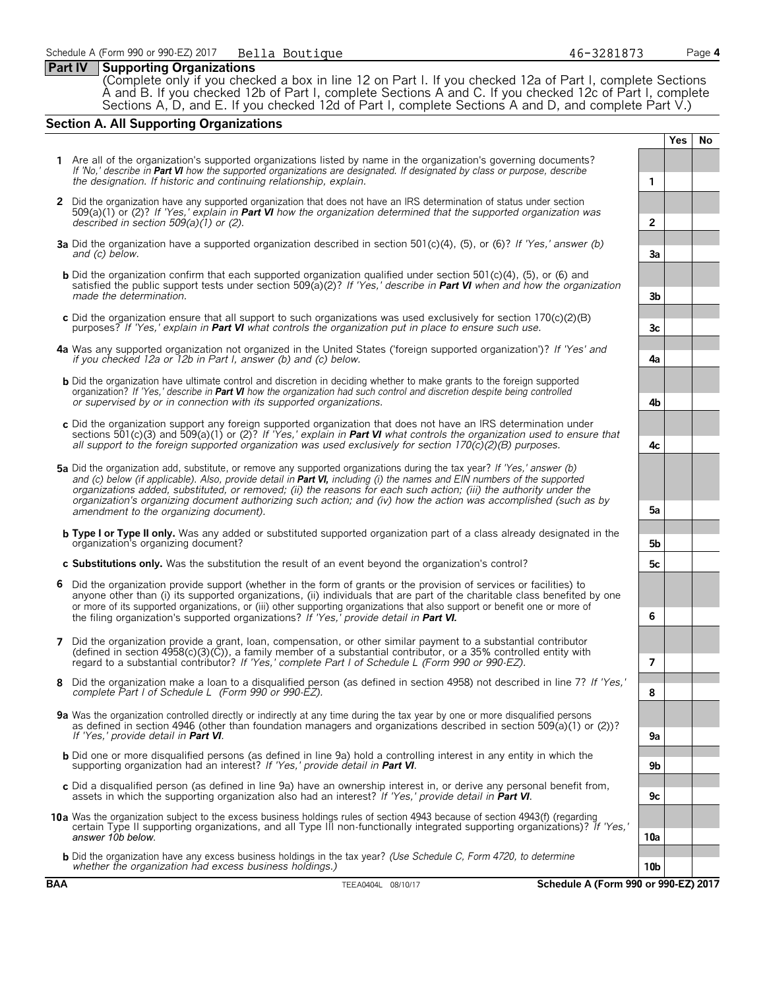#### **Part IV Supporting Organizations**

(Complete only if you checked a box in line 12 on Part I. If you checked 12a of Part I, complete Sections A and B. If you checked 12b of Part I, complete Sections A and C. If you checked 12c of Part I, complete Sections A, D, and E. If you checked 12d of Part I, complete Sections A and D, and complete Part V.)

### **Section A. All Supporting Organizations**

**Yes No 1** Are all of the organization's supported organizations listed by name in the organization's governing documents? *If 'No,' describe in Part VI how the supported organizations are designated. If designated by class or purpose, describe the designation. If historic and continuing relationship, explain.* **1 2** Did the organization have any supported organization that does not have an IRS determination of status under section 509(a)(1) or (2)? *If 'Yes,' explain in Part VI how the organization determined that the supported organization was described in section 509(a)(1) or (2).* **2 3a** Did the organization have a supported organization described in section 501(c)(4), (5), or (6)? *If 'Yes,' answer (b) and (c) below.* **3a b** Did the organization confirm that each supported organization qualified under section 501(c)(4), (5), or (6) and satisfied the public support tests under section 509(a)(2)? *If 'Yes,' describe in Part VI when and how the organization made the determination.* **3b c** Did the organization ensure that all support to such organizations was used exclusively for section 170(c)(2)(B) purposes? *If 'Yes,' explain in Part VI what controls the organization put in place to ensure such use.* **3c 4a** Was any supported organization not organized in the United States ('foreign supported organization')? *If 'Yes' and if you checked 12a or 12b in Part I, answer (b) and (c) below.* **4a b** Did the organization have ultimate control and discretion in deciding whether to make grants to the foreign supported organization? *If 'Yes,' describe in Part VI how the organization had such control and discretion despite being controlled or supervised by or in connection with its supported organizations.* **4b c** Did the organization support any foreign supported organization that does not have an IRS determination under sections 501(c)(3) and 509(a)(1) or (2)? *If 'Yes,' explain in Part VI what controls the organization used to ensure that all support to the foreign supported organization was used exclusively for section 170(c)(2)(B) purposes.* **4c 5a** Did the organization add, substitute, or remove any supported organizations during the tax year? *If 'Yes,' answer (b)* and (c) below (if applicable). Also, provide detail in **Part VI**, including (i) the names and EIN numbers of the supported *organizations added, substituted, or removed; (ii) the reasons for each such action; (iii) the authority under the organization's organizing document authorizing such action; and (iv) how the action was accomplished (such as by amendment to the organizing document).* **5a b Type I or Type II only.** Was any added or substituted supported organization part of a class already designated in the organization's organizing document? **5b c Substitutions only.** Was the substitution the result of an event beyond the organization's control? **5c 6** Did the organization provide support (whether in the form of grants or the provision of services or facilities) to anyone other than (i) its supported organizations, (ii) individuals that are part of the charitable class benefited by one or more of its supported organizations, or (iii) other supporting organizations that also support or benefit one or more of the filing organization's supported organizations? *If 'Yes,' provide detail in Part VI.* **6 7** Did the organization provide a grant, loan, compensation, or other similar payment to a substantial contributor (defined in section 4958(c)(3)(C)), a family member of a substantial contributor, or a 35% controlled entity with regard to a substantial contributor? *If 'Yes,' complete Part I of Schedule L (Form 990 or 990-EZ).* **7 8** Did the organization make a loan to a disqualified person (as defined in section 4958) not described in line 7? *If 'Yes,' complete Part I of Schedule L (Form 990 or 990-EZ).* **8 9a** Was the organization controlled directly or indirectly at any time during the tax year by one or more disqualified persons as defined in section 4946 (other than foundation managers and organizations described in section 509(a)(1) or (2))? *If 'Yes,' provide detail in Part VI*. b Did one or more disqualified persons (as defined in line 9a) hold a controlling interest in any entity in which the<br>supporting organization had an interest? If 'Yes,' provide detail in Part VI. **c** Did a disqualified person (as defined in line 9a) have an ownership interest in, or derive any personal benefit from, assets in which the supporting organization also had an interest? *If 'Yes,' provide detail in Part VI*. **9c 10a** Was the organization subject to the excess business holdings rules of section 4943 because of section 4943(f) (regarding certain Type II supporting organizations, and all Type III non-functionally integrated supporting organizations)? *If 'Yes,' answer 10b below.* **10a b** Did the organization have any excess business holdings in the tax year? *(Use Schedule C, Form 4720, to determine whether the organization had excess business holdings.)* **10b**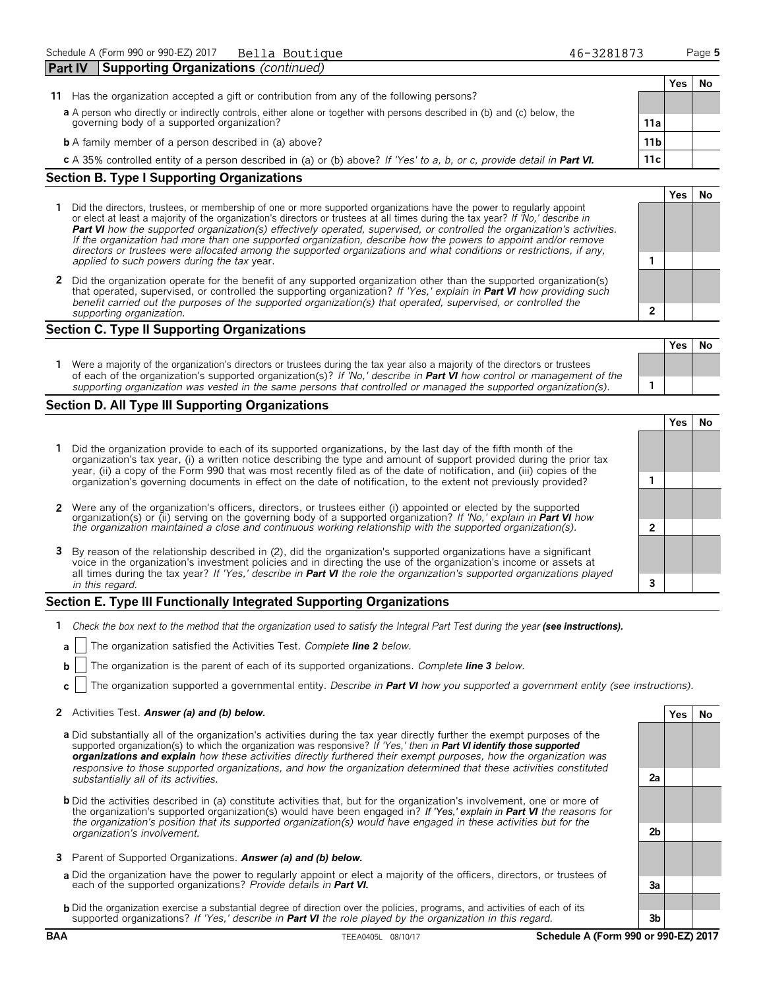| <b>Part IV</b> | <b>Supporting Organizations (continued)</b>                                                                               |                 |     |    |
|----------------|---------------------------------------------------------------------------------------------------------------------------|-----------------|-----|----|
|                |                                                                                                                           |                 | Yes | Νo |
| 11             | Has the organization accepted a gift or contribution from any of the following persons?                                   |                 |     |    |
|                | a A person who directly or indirectly controls, either alone or together with persons described in (b) and (c) below, the |                 |     |    |
|                | governing body of a supported organization?                                                                               | 11a             |     |    |
|                | <b>b</b> A family member of a person described in (a) above?                                                              | 11 <sub>b</sub> |     |    |
|                | c A 35% controlled entity of a person described in (a) or (b) above? If 'Yes' to a, b, or c, provide detail in Part VI.   | 11c             |     |    |

#### **Section B. Type I Supporting Organizations**

- **1** Did the directors, trustees, or membership of one or more supported organizations have the power to regularly appoint or elect at least a majority of the organization's directors or trustees at all times during the tax year? *If 'No,' describe in Part VI how the supported organization(s) effectively operated, supervised, or controlled the organization's activities. If the organization had more than one supported organization, describe how the powers to appoint and/or remove directors or trustees were allocated among the supported organizations and what conditions or restrictions, if any, applied to such powers during the tax* year. **1**
- **2** Did the organization operate for the benefit of any supported organization other than the supported organization(s) that operated, supervised, or controlled the supporting organization? *If 'Yes,' explain in Part VI how providing such benefit carried out the purposes of the supported organization(s) that operated, supervised, or controlled the supporting organization.* **2**

### **Section C. Type II Supporting Organizations**

|                                                                                                                                                                                                                                                               | . |  |
|---------------------------------------------------------------------------------------------------------------------------------------------------------------------------------------------------------------------------------------------------------------|---|--|
| Were a majority of the organization's directors or trustees during the tax year also a majority of the directors or trustees<br>of each of the organization's supported organization(s)? If 'No,' describe in <b>Part VI</b> how control or management of the |   |  |
| supporting organization was vested in the same persons that controlled or managed the supported organization(s).                                                                                                                                              |   |  |

#### **Section D. All Type III Supporting Organizations**

**Yes No 1** Did the organization provide to each of its supported organizations, by the last day of the fifth month of the organization's tax year, (i) a written notice describing the type and amount of support provided during the prior tax year, (ii) a copy of the Form 990 that was most recently filed as of the date of notification, and (iii) copies of the organization's governing documents in effect on the date of notification, to the extent not previously provided? **1 2** Were any of the organization's officers, directors, or trustees either (i) appointed or elected by the supported organization(s) or (ii) serving on the governing body of a supported organization? *If 'No,' explain in Part VI how the organization maintained a close and continuous working relationship with the supported organization(s).* **2 3** By reason of the relationship described in (2), did the organization's supported organizations have a significant voice in the organization's investment policies and in directing the use of the organization's income or assets at all times during the tax year? *If 'Yes,' describe in Part VI the role the organization's supported organizations played in this regard.* **3**

#### **Section E. Type III Functionally Integrated Supporting Organizations**

- **1** *Check the box next to the method that the organization used to satisfy the Integral Part Test during the year (see instructions).* 
	- **a** The organization satisfied the Activities Test. *Complete line 2 below.*
	- **b** The organization is the parent of each of its supported organizations. *Complete line 3 below.*
	- **c** The organization supported a governmental entity. *Describe in Part VI how you supported a government entity (see instructions).*

#### **2** Activities Test. *Answer (a) and (b) below.* **Yes No**

- **a** Did substantially all of the organization's activities during the tax year directly further the exempt purposes of the supported organization(s) to which the organization was responsive? *If 'Yes,' then in Part VI identify those supported organizations and explain how these activities directly furthered their exempt purposes, how the organization was responsive to those supported organizations, and how the organization determined that these activities constituted substantially all of its activities.* **2a**
- **b** Did the activities described in (a) constitute activities that, but for the organization's involvement, one or more of the organization's supported organization(s) would have been engaged in? *If 'Yes,' explain in Part VI the reasons for the organization's position that its supported organization(s) would have engaged in these activities but for the organization's involvement.* **2b**
- **3** Parent of Supported Organizations. *Answer (a) and (b) below.*
- **a** Did the organization have the power to regularly appoint or elect a majority of the officers, directors, or trustees of each of the supported organizations? *Provide details in Part VI.* **3a**
- **b** Did the organization exercise a substantial degree of direction over the policies, programs, and activities of each of its supported organizations? *If 'Yes,' describe in Part VI the role played by the organization in this regard.* **3b**

**Yes No**

**Yes No**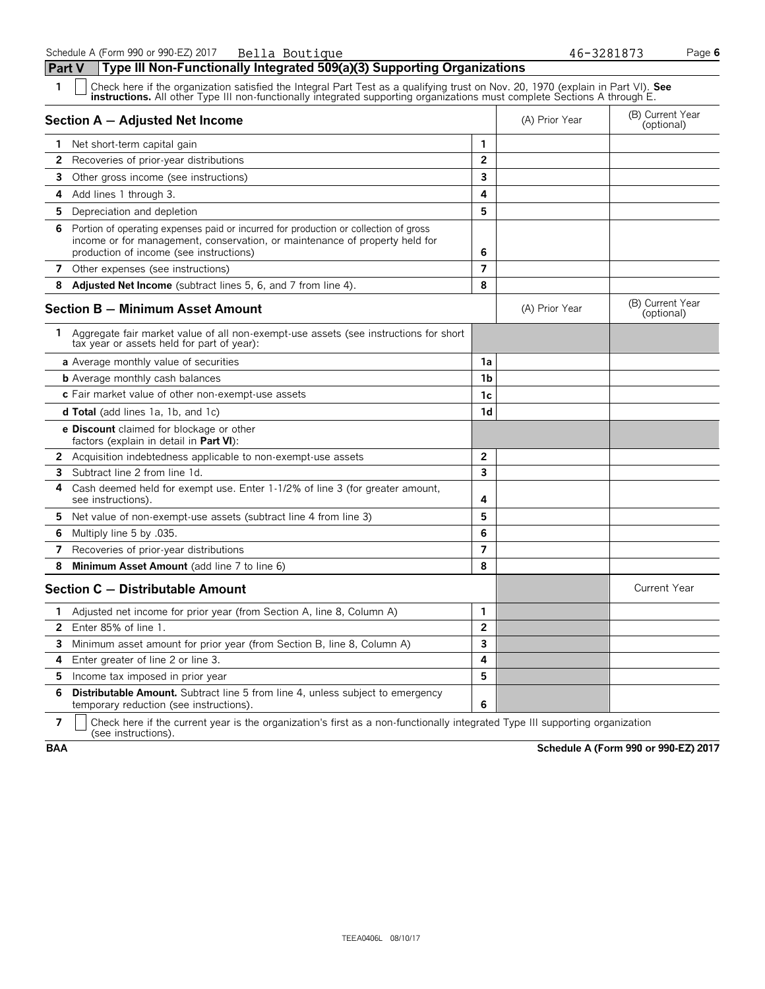| 1            | Check here if the organization satisfied the Integral Part Test as a qualifying trust on Nov. 20, 1970 (explain in Part VI). See<br><b>instructions.</b> All other Type III non-functionally integrated supporting organizations must complete Sections A through E. |                |                |                                |
|--------------|----------------------------------------------------------------------------------------------------------------------------------------------------------------------------------------------------------------------------------------------------------------------|----------------|----------------|--------------------------------|
|              | Section A - Adjusted Net Income                                                                                                                                                                                                                                      |                | (A) Prior Year | (B) Current Year<br>(optional) |
|              | 1 Net short-term capital gain                                                                                                                                                                                                                                        | 1              |                |                                |
| 2            | Recoveries of prior-year distributions                                                                                                                                                                                                                               | $\overline{2}$ |                |                                |
| 3            | Other gross income (see instructions)                                                                                                                                                                                                                                | 3              |                |                                |
| 4            | Add lines 1 through 3.                                                                                                                                                                                                                                               | 4              |                |                                |
| 5            | Depreciation and depletion                                                                                                                                                                                                                                           | 5              |                |                                |
| 6            | Portion of operating expenses paid or incurred for production or collection of gross<br>income or for management, conservation, or maintenance of property held for<br>production of income (see instructions)                                                       | 6              |                |                                |
|              | 7 Other expenses (see instructions)                                                                                                                                                                                                                                  | $\overline{7}$ |                |                                |
| 8            | <b>Adjusted Net Income</b> (subtract lines 5, 6, and 7 from line 4).                                                                                                                                                                                                 | 8              |                |                                |
|              | <b>Section B - Minimum Asset Amount</b>                                                                                                                                                                                                                              |                | (A) Prior Year | (B) Current Year<br>(optional) |
|              | 1 Aggregate fair market value of all non-exempt-use assets (see instructions for short<br>tax year or assets held for part of year):                                                                                                                                 |                |                |                                |
|              | a Average monthly value of securities                                                                                                                                                                                                                                | 1a             |                |                                |
|              | <b>b</b> Average monthly cash balances                                                                                                                                                                                                                               | 1b             |                |                                |
|              | c Fair market value of other non-exempt-use assets                                                                                                                                                                                                                   | 1c             |                |                                |
|              | <b>d Total</b> (add lines 1a, 1b, and 1c)                                                                                                                                                                                                                            | 1d             |                |                                |
|              | <b>e Discount</b> claimed for blockage or other<br>factors (explain in detail in <b>Part VI</b> ):                                                                                                                                                                   |                |                |                                |
|              | <b>2</b> Acquisition indebtedness applicable to non-exempt-use assets                                                                                                                                                                                                | $\overline{2}$ |                |                                |
| 3.           | Subtract line 2 from line 1d.                                                                                                                                                                                                                                        | 3              |                |                                |
| 4            | Cash deemed held for exempt use. Enter 1-1/2% of line 3 (for greater amount,<br>see instructions).                                                                                                                                                                   | 4              |                |                                |
| 5.           | Net value of non-exempt-use assets (subtract line 4 from line 3)                                                                                                                                                                                                     | 5              |                |                                |
| 6            | Multiply line 5 by .035.                                                                                                                                                                                                                                             | 6              |                |                                |
| 7            | Recoveries of prior-year distributions                                                                                                                                                                                                                               | 7              |                |                                |
| 8            | Minimum Asset Amount (add line 7 to line 6)                                                                                                                                                                                                                          | 8              |                |                                |
|              | Section C - Distributable Amount                                                                                                                                                                                                                                     |                |                | <b>Current Year</b>            |
| 1.           | Adjusted net income for prior year (from Section A, line 8, Column A)                                                                                                                                                                                                | 1              |                |                                |
| $\mathbf{2}$ | Enter 85% of line 1.                                                                                                                                                                                                                                                 | $\overline{2}$ |                |                                |
| 3            | Minimum asset amount for prior year (from Section B, line 8, Column A)                                                                                                                                                                                               | 3              |                |                                |
| 4            | Enter greater of line 2 or line 3.                                                                                                                                                                                                                                   | 4              |                |                                |
| 5            | Income tax imposed in prior year                                                                                                                                                                                                                                     | 5              |                |                                |
| 6            | <b>Distributable Amount.</b> Subtract line 5 from line 4, unless subject to emergency<br>temporary reduction (see instructions).                                                                                                                                     | 6              |                |                                |

**7**  $\mid$  Check here if the current year is the organization's first as a non-functionally integrated Type III supporting organization (see instructions).

**BAA Schedule A (Form 990 or 990-EZ) 2017**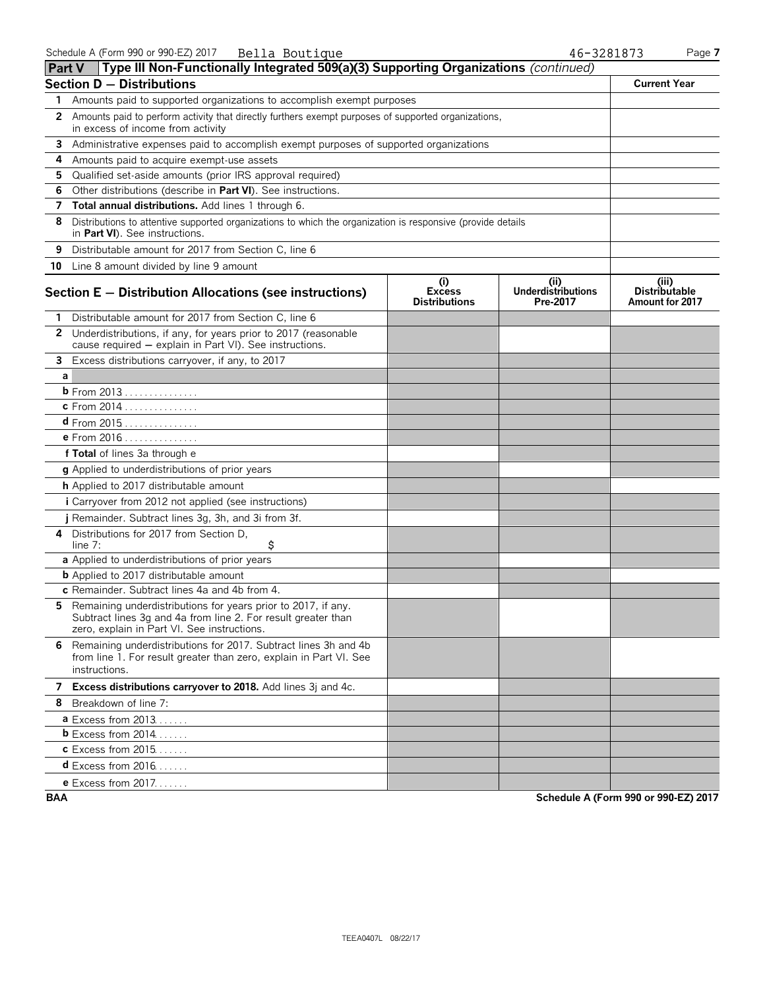| <b>Part V</b> | Type III Non-Functionally Integrated 509(a)(3) Supporting Organizations (continued)                                                                                             |                                              |                                               |                                                  |
|---------------|---------------------------------------------------------------------------------------------------------------------------------------------------------------------------------|----------------------------------------------|-----------------------------------------------|--------------------------------------------------|
|               | <b>Section D - Distributions</b>                                                                                                                                                |                                              |                                               | <b>Current Year</b>                              |
| 1             | Amounts paid to supported organizations to accomplish exempt purposes                                                                                                           |                                              |                                               |                                                  |
| 2             | Amounts paid to perform activity that directly furthers exempt purposes of supported organizations,<br>in excess of income from activity                                        |                                              |                                               |                                                  |
| 3             | Administrative expenses paid to accomplish exempt purposes of supported organizations                                                                                           |                                              |                                               |                                                  |
| 4             | Amounts paid to acquire exempt-use assets                                                                                                                                       |                                              |                                               |                                                  |
| 5             | Qualified set-aside amounts (prior IRS approval required)                                                                                                                       |                                              |                                               |                                                  |
| 6             | Other distributions (describe in Part VI). See instructions.                                                                                                                    |                                              |                                               |                                                  |
| 7             | Total annual distributions. Add lines 1 through 6.                                                                                                                              |                                              |                                               |                                                  |
| 8             | Distributions to attentive supported organizations to which the organization is responsive (provide details<br>in Part VI). See instructions.                                   |                                              |                                               |                                                  |
| 9             | Distributable amount for 2017 from Section C, line 6                                                                                                                            |                                              |                                               |                                                  |
|               | 10 Line 8 amount divided by line 9 amount                                                                                                                                       |                                              |                                               |                                                  |
|               | Section E - Distribution Allocations (see instructions)                                                                                                                         | (i)<br><b>Excess</b><br><b>Distributions</b> | (ii)<br><b>Underdistributions</b><br>Pre-2017 | (iii)<br><b>Distributable</b><br>Amount for 2017 |
|               | 1 Distributable amount for 2017 from Section C, line 6                                                                                                                          |                                              |                                               |                                                  |
|               | 2 Underdistributions, if any, for years prior to 2017 (reasonable<br>cause required - explain in Part VI). See instructions.                                                    |                                              |                                               |                                                  |
| 3             | Excess distributions carryover, if any, to 2017                                                                                                                                 |                                              |                                               |                                                  |
| a             |                                                                                                                                                                                 |                                              |                                               |                                                  |
|               | <b>b</b> From 2013                                                                                                                                                              |                                              |                                               |                                                  |
|               | c From 2014                                                                                                                                                                     |                                              |                                               |                                                  |
|               | <b>d</b> From 2015                                                                                                                                                              |                                              |                                               |                                                  |
|               | e From 2016                                                                                                                                                                     |                                              |                                               |                                                  |
|               | f Total of lines 3a through e                                                                                                                                                   |                                              |                                               |                                                  |
|               | g Applied to underdistributions of prior years                                                                                                                                  |                                              |                                               |                                                  |
|               | h Applied to 2017 distributable amount                                                                                                                                          |                                              |                                               |                                                  |
|               | i Carryover from 2012 not applied (see instructions)                                                                                                                            |                                              |                                               |                                                  |
|               | j Remainder. Subtract lines 3g, 3h, and 3i from 3f.                                                                                                                             |                                              |                                               |                                                  |
|               | 4 Distributions for 2017 from Section D,<br>\$<br>line $7:$                                                                                                                     |                                              |                                               |                                                  |
|               | a Applied to underdistributions of prior years                                                                                                                                  |                                              |                                               |                                                  |
|               | <b>b</b> Applied to 2017 distributable amount                                                                                                                                   |                                              |                                               |                                                  |
|               | c Remainder. Subtract lines 4a and 4b from 4.                                                                                                                                   |                                              |                                               |                                                  |
|               | 5 Remaining underdistributions for years prior to 2017, if any.<br>Subtract lines 3g and 4a from line 2. For result greater than<br>zero, explain in Part VI. See instructions. |                                              |                                               |                                                  |
|               | 6 Remaining underdistributions for 2017. Subtract lines 3h and 4b<br>from line 1. For result greater than zero, explain in Part VI. See<br>instructions.                        |                                              |                                               |                                                  |
|               | 7 Excess distributions carryover to 2018. Add lines 3j and 4c.                                                                                                                  |                                              |                                               |                                                  |
|               | 8 Breakdown of line 7:                                                                                                                                                          |                                              |                                               |                                                  |
|               | <b>a</b> Excess from $2013$                                                                                                                                                     |                                              |                                               |                                                  |
|               | <b>b</b> Excess from 2014                                                                                                                                                       |                                              |                                               |                                                  |
|               | <b>c</b> Excess from 2015                                                                                                                                                       |                                              |                                               |                                                  |
|               | <b>d</b> Excess from 2016                                                                                                                                                       |                                              |                                               |                                                  |
|               | <b>e</b> Excess from 2017.                                                                                                                                                      |                                              |                                               |                                                  |

**BAA Schedule A (Form 990 or 990-EZ) 2017**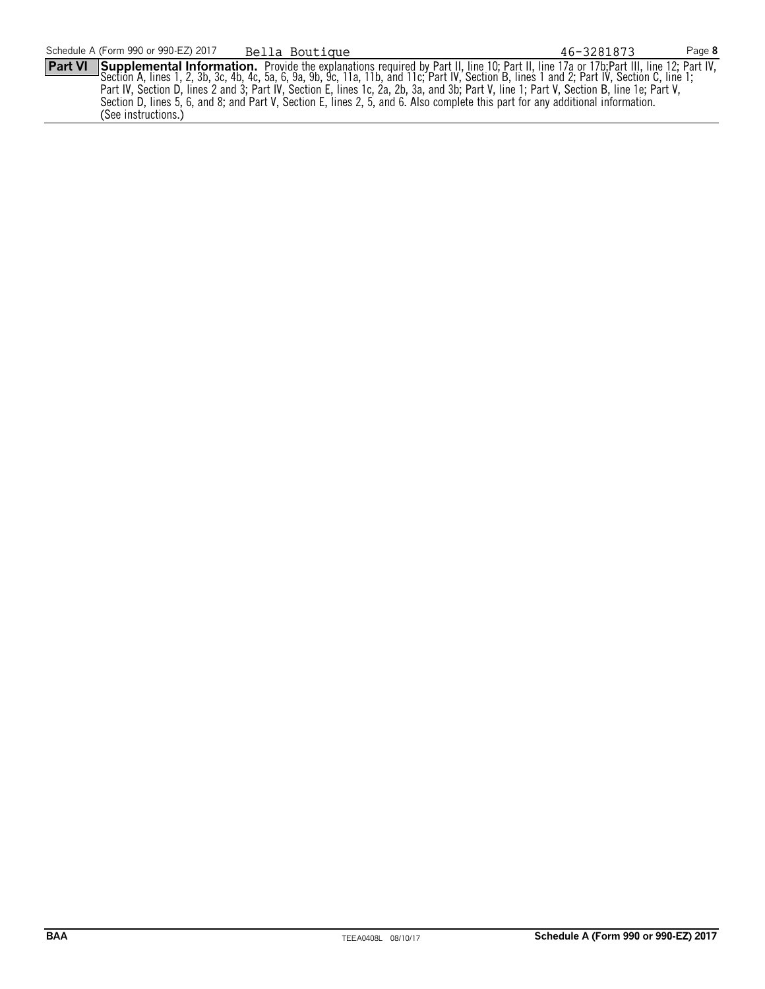**Part VI** Supplemental Information. Provide the explanations required by Part II, line 10; Part II, line 17a or 17b; Part III, line 12; Part IV, Section A, lines 1, 2, 3b, 3c, 4b, 4c, 5a, 6, 9a, 9b, 9c, 11a, 11b, and 11c; Part IV, Section B, lines 1 and 2; Part IV, Section C, line 1; Part IV, Section D, lines 2 and 3; Part IV, Section E, lines 1c, 2a, 2b, 3a, and 3b; Part V, line 1; Part V, Section B, line 1e; Part V, Section D, lines 5, 6, and 8; and Part V, Section E, lines 2, 5, and 6. Also complete this part for any additional information. (See instructions.) Bella Boutique 46-3281873